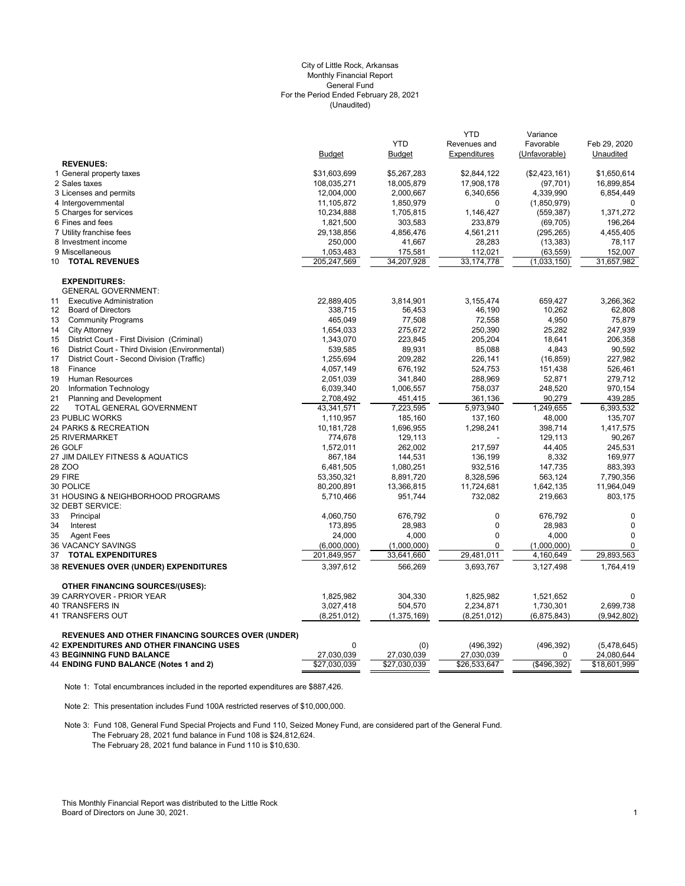#### (Unaudited) City of Little Rock, Arkansas Monthly Financial Report General Fund For the Period Ended February 28, 2021

|                                                          | <b>Budget</b> | <b>YTD</b><br><b>Budget</b> | <b>YTD</b><br>Revenues and<br>Expenditures | Variance<br>Favorable<br>(Unfavorable) | Feb 29, 2020<br>Unaudited |
|----------------------------------------------------------|---------------|-----------------------------|--------------------------------------------|----------------------------------------|---------------------------|
| <b>REVENUES:</b>                                         |               |                             |                                            |                                        |                           |
| 1 General property taxes                                 | \$31,603,699  | \$5,267,283                 | \$2,844,122                                | (\$2,423,161)                          | \$1,650,614               |
| 2 Sales taxes                                            | 108,035,271   | 18,005,879                  | 17,908,178                                 | (97, 701)                              | 16,899,854                |
| 3 Licenses and permits                                   | 12,004,000    | 2,000,667                   | 6,340,656                                  | 4,339,990                              | 6,854,449                 |
| 4 Intergovernmental                                      | 11,105,872    | 1,850,979                   | 0                                          | (1,850,979)                            | $\mathbf 0$               |
| 5 Charges for services                                   | 10,234,888    | 1,705,815                   | 1,146,427                                  | (559, 387)                             | 1,371,272                 |
| 6 Fines and fees                                         | 1,821,500     | 303,583                     | 233,879                                    | (69, 705)                              | 196,264                   |
| 7 Utility franchise fees                                 | 29,138,856    | 4,856,476                   | 4,561,211                                  | (295, 265)                             | 4,455,405                 |
| 8 Investment income                                      | 250,000       | 41,667                      | 28,283                                     | (13, 383)                              | 78,117                    |
| 9 Miscellaneous                                          | 1,053,483     | 175,581                     | 112,021                                    | (63, 559)                              | 152,007                   |
| <b>TOTAL REVENUES</b><br>10                              | 205,247,569   | 34,207,928                  | 33, 174, 778                               | (1,033,150)                            | 31,657,982                |
| <b>EXPENDITURES:</b>                                     |               |                             |                                            |                                        |                           |
| <b>GENERAL GOVERNMENT:</b>                               |               |                             |                                            |                                        |                           |
| 11<br><b>Executive Administration</b>                    | 22,889,405    | 3,814,901                   | 3,155,474                                  | 659,427                                | 3,266,362                 |
| <b>Board of Directors</b><br>$12 \overline{ }$           | 338,715       | 56,453                      | 46,190                                     | 10,262                                 | 62,808                    |
| <b>Community Programs</b><br>13                          | 465,049       | 77,508                      | 72,558                                     | 4,950                                  | 75,879                    |
| 14<br><b>City Attorney</b>                               | 1,654,033     | 275,672                     | 250,390                                    | 25,282                                 | 247,939                   |
| 15<br>District Court - First Division (Criminal)         | 1,343,070     | 223,845                     | 205,204                                    | 18,641                                 | 206,358                   |
| 16<br>District Court - Third Division (Environmental)    | 539,585       | 89,931                      | 85,088                                     | 4,843                                  | 90,592                    |
| 17<br>District Court - Second Division (Traffic)         | 1,255,694     | 209,282                     | 226,141                                    | (16, 859)                              | 227,982                   |
| 18<br>Finance                                            | 4,057,149     | 676,192                     | 524,753                                    | 151,438                                | 526,461                   |
| 19<br>Human Resources                                    | 2,051,039     | 341,840                     | 288,969                                    | 52,871                                 | 279,712                   |
| 20<br>Information Technology                             | 6,039,340     | 1,006,557                   | 758,037                                    | 248,520                                | 970,154                   |
| 21<br>Planning and Development                           | 2,708,492     | 451,415                     | 361,136                                    | 90,279                                 | 439,285                   |
| 22<br>TOTAL GENERAL GOVERNMENT                           | 43,341,571    | 7,223,595                   | 5,973,940                                  | 1,249,655                              | 6,393,532                 |
| 23 PUBLIC WORKS                                          | 1,110,957     | 185,160                     | 137,160                                    | 48.000                                 | 135,707                   |
| 24 PARKS & RECREATION                                    | 10,181,728    | 1,696,955                   | 1,298,241                                  | 398,714                                | 1,417,575                 |
| <b>25 RIVERMARKET</b>                                    | 774,678       | 129,113                     |                                            | 129,113                                | 90,267                    |
| 26 GOLF                                                  | 1,572,011     | 262,002                     | 217,597                                    | 44,405                                 | 245,531                   |
| 27 JIM DAILEY FITNESS & AQUATICS                         | 867,184       | 144,531                     | 136,199                                    | 8,332                                  | 169,977                   |
| 28 ZOO                                                   | 6,481,505     | 1,080,251                   | 932,516                                    | 147,735                                | 883,393                   |
| 29 FIRE                                                  | 53,350,321    | 8,891,720                   | 8,328,596                                  | 563,124                                | 7,790,356                 |
| 30 POLICE                                                | 80,200,891    | 13,366,815                  | 11,724,681                                 | 1,642,135                              | 11,964,049                |
| 31 HOUSING & NEIGHBORHOOD PROGRAMS<br>32 DEBT SERVICE:   | 5,710,466     | 951.744                     | 732,082                                    | 219,663                                | 803,175                   |
| 33<br>Principal                                          | 4,060,750     | 676,792                     | $\pmb{0}$                                  | 676,792                                | 0                         |
| 34<br>Interest                                           | 173,895       | 28,983                      | $\pmb{0}$                                  | 28,983                                 | $\mathbf 0$               |
| 35<br><b>Agent Fees</b>                                  | 24,000        | 4,000                       | $\mathbf 0$                                | 4,000                                  | $\mathbf{0}$              |
| <b>36 VACANCY SAVINGS</b>                                | (6,000,000)   | (1,000,000)                 | $\Omega$                                   | (1,000,000)                            | $\mathbf 0$               |
| <b>TOTAL EXPENDITURES</b><br>37                          | 201,849,957   | 33,641,660                  | 29,481,011                                 | 4,160,649                              | 29,893,563                |
| 38 REVENUES OVER (UNDER) EXPENDITURES                    | 3,397,612     | 566,269                     | 3,693,767                                  | 3,127,498                              | 1,764,419                 |
| <b>OTHER FINANCING SOURCES/(USES):</b>                   |               |                             |                                            |                                        |                           |
| 39 CARRYOVER - PRIOR YEAR                                | 1,825,982     | 304,330                     | 1,825,982                                  | 1,521,652                              | $\mathbf 0$               |
| 40 TRANSFERS IN                                          | 3,027,418     | 504,570                     | 2,234,871                                  | 1,730,301                              | 2,699,738                 |
| 41 TRANSFERS OUT                                         | (8,251,012)   | (1, 375, 169)               | (8, 251, 012)                              | (6,875,843)                            | (9,942,802)               |
| <b>REVENUES AND OTHER FINANCING SOURCES OVER (UNDER)</b> |               |                             |                                            |                                        |                           |
| <b>42 EXPENDITURES AND OTHER FINANCING USES</b>          | 0             | (0)                         | (496, 392)                                 | (496, 392)                             | (5,478,645)               |
| <b>43 BEGINNING FUND BALANCE</b>                         | 27,030,039    | 27,030,039                  | 27,030,039                                 | $\Omega$                               | 24,080,644                |
| 44 ENDING FUND BALANCE (Notes 1 and 2)                   | \$27,030,039  | \$27,030,039                | \$26,533,647                               | (\$496,392)                            | \$18,601,999              |

Note 1: Total encumbrances included in the reported expenditures are \$887,426.

Note 2: This presentation includes Fund 100A restricted reserves of \$10,000,000.

Note 3: Fund 108, General Fund Special Projects and Fund 110, Seized Money Fund, are considered part of the General Fund. The February 28, 2021 fund balance in Fund 108 is \$24,812,624. The February 28, 2021 fund balance in Fund 110 is \$10,630.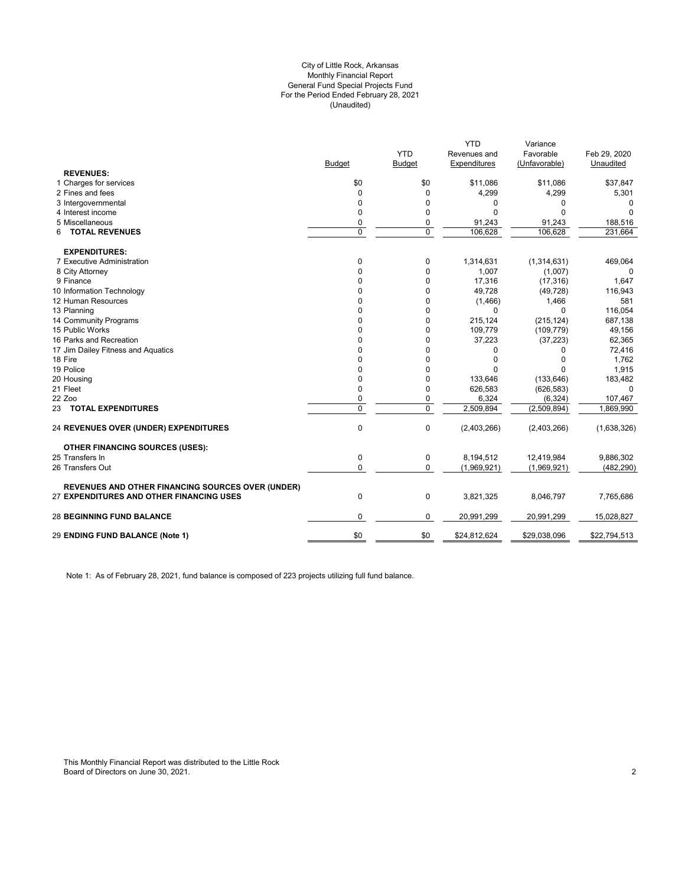#### (Unaudited) City of Little Rock, Arkansas Monthly Financial Report General Fund Special Projects Fund For the Period Ended February 28, 2021

|                                                          |               | <b>YTD</b>  | <b>YTD</b><br>Revenues and | Variance<br>Favorable | Feb 29, 2020 |
|----------------------------------------------------------|---------------|-------------|----------------------------|-----------------------|--------------|
|                                                          | <b>Budget</b> | Budget      | Expenditures               | (Unfavorable)         | Unaudited    |
| <b>REVENUES:</b>                                         |               |             |                            |                       |              |
| 1 Charges for services                                   | \$0           | \$0         | \$11,086                   | \$11,086              | \$37,847     |
| 2 Fines and fees                                         | 0             | $\mathbf 0$ | 4,299                      | 4,299                 | 5,301        |
| 3 Intergovernmental                                      | 0             | 0           | 0                          | 0                     | 0            |
| 4 Interest income                                        | 0             | 0           | $\Omega$                   | $\Omega$              |              |
| 5 Miscellaneous                                          | 0             | 0           | 91,243                     | 91,243                | 188,516      |
| <b>TOTAL REVENUES</b><br>6                               | $\Omega$      | $\Omega$    | 106.628                    | 106.628               | 231.664      |
| <b>EXPENDITURES:</b>                                     |               |             |                            |                       |              |
| 7 Executive Administration                               | 0             | 0           | 1,314,631                  | (1,314,631)           | 469,064      |
| 8 City Attorney                                          | 0             | 0           | 1,007                      | (1,007)               | 0            |
| 9 Finance                                                | 0             | 0           | 17,316                     | (17, 316)             | 1,647        |
| 10 Information Technology                                | 0             | $\mathbf 0$ | 49,728                     | (49, 728)             | 116,943      |
| 12 Human Resources                                       | 0             | $\mathbf 0$ | (1,466)                    | 1,466                 | 581          |
| 13 Planning                                              | 0             | 0           | $\Omega$                   | $\Omega$              | 116,054      |
| 14 Community Programs                                    | $\Omega$      | 0           | 215,124                    | (215, 124)            | 687,138      |
| 15 Public Works                                          | 0             | 0           | 109,779                    | (109, 779)            | 49,156       |
| 16 Parks and Recreation                                  | 0             | $\mathbf 0$ | 37,223                     | (37, 223)             | 62,365       |
| 17 Jim Dailey Fitness and Aquatics                       | 0             | 0           | $\Omega$                   | <sup>0</sup>          | 72,416       |
| 18 Fire                                                  | 0             | 0           | $\Omega$                   | O                     | 1,762        |
| 19 Police                                                | 0             | 0           | $\Omega$                   | U                     | 1,915        |
| 20 Housing                                               | 0             | 0           | 133,646                    | (133, 646)            | 183,482      |
| 21 Fleet                                                 | 0             | 0           | 626,583                    | (626, 583)            | $\mathbf 0$  |
| 22 Zoo                                                   | 0             | 0           | 6,324                      | (6, 324)              | 107,467      |
| 23 TOTAL EXPENDITURES                                    | 0             | $\mathbf 0$ | 2,509,894                  | (2,509,894)           | 1,869,990    |
| <b>24 REVENUES OVER (UNDER) EXPENDITURES</b>             | 0             | $\mathbf 0$ | (2,403,266)                | (2,403,266)           | (1,638,326)  |
| <b>OTHER FINANCING SOURCES (USES):</b>                   |               |             |                            |                       |              |
| 25 Transfers In                                          | 0             | $\mathbf 0$ | 8,194,512                  | 12,419,984            | 9,886,302    |
| 26 Transfers Out                                         | 0             | $\mathbf 0$ | (1,969,921)                | (1,969,921)           | (482, 290)   |
| <b>REVENUES AND OTHER FINANCING SOURCES OVER (UNDER)</b> |               |             |                            |                       |              |
| 27 EXPENDITURES AND OTHER FINANCING USES                 | 0             | $\pmb{0}$   | 3,821,325                  | 8,046,797             | 7,765,686    |
| <b>28 BEGINNING FUND BALANCE</b>                         | 0             | 0           | 20,991,299                 | 20,991,299            | 15,028,827   |
| 29 ENDING FUND BALANCE (Note 1)                          | \$0           | \$0         | \$24,812,624               | \$29,038,096          | \$22,794,513 |
|                                                          |               |             |                            |                       |              |

Note 1: As of February 28, 2021, fund balance is composed of 223 projects utilizing full fund balance.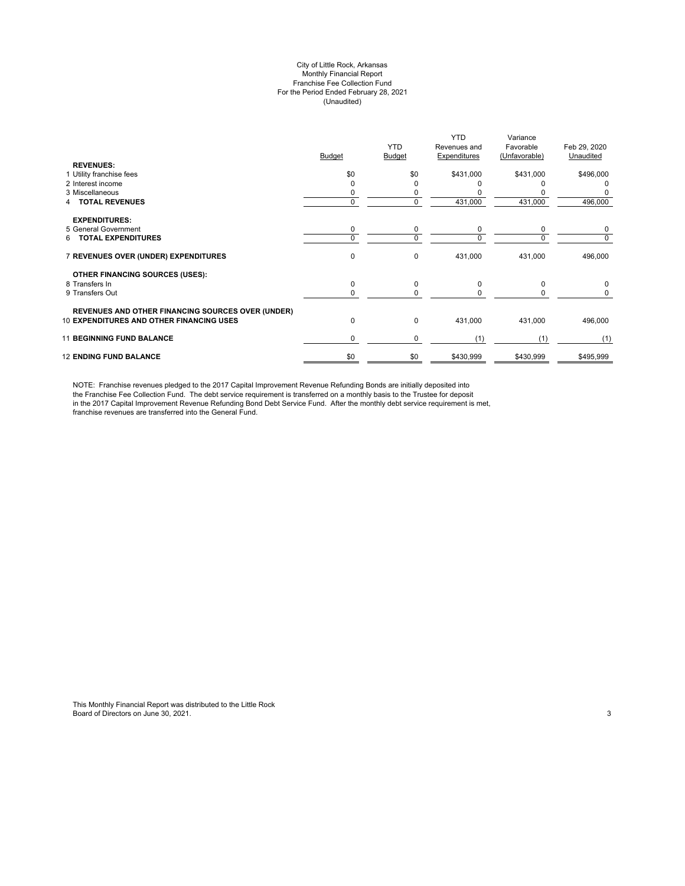#### City of Little Rock, Arkansas Monthly Financial Report Franchise Fee Collection Fund For the Period Ended February 28, 2021 (Unaudited)

|                                                                                                             | Budget   | <b>YTD</b><br><b>Budget</b> | <b>YTD</b><br>Revenues and<br>Expenditures | Variance<br>Favorable<br>(Unfavorable) | Feb 29, 2020<br>Unaudited |
|-------------------------------------------------------------------------------------------------------------|----------|-----------------------------|--------------------------------------------|----------------------------------------|---------------------------|
| <b>REVENUES:</b>                                                                                            |          |                             |                                            |                                        |                           |
| 1 Utility franchise fees<br>2 Interest income                                                               | \$0      | \$0<br>ŋ                    | \$431,000                                  | \$431,000                              | \$496,000                 |
| 3 Miscellaneous                                                                                             |          |                             |                                            |                                        | 0                         |
| <b>TOTAL REVENUES</b>                                                                                       | $\Omega$ | 0<br>0                      | 431,000                                    | 431,000                                |                           |
|                                                                                                             |          |                             |                                            |                                        | 496,000                   |
| <b>EXPENDITURES:</b>                                                                                        |          |                             |                                            |                                        |                           |
| 5 General Government                                                                                        | 0        | 0                           | 0                                          | 0                                      | 0                         |
| <b>TOTAL EXPENDITURES</b><br>6.                                                                             | $\Omega$ | 0                           | $\Omega$                                   | $\Omega$                               | 0                         |
| 7 REVENUES OVER (UNDER) EXPENDITURES                                                                        | 0        | 0                           | 431,000                                    | 431,000                                | 496,000                   |
| <b>OTHER FINANCING SOURCES (USES):</b>                                                                      |          |                             |                                            |                                        |                           |
| 8 Transfers In                                                                                              | 0        | 0                           | $\Omega$                                   | $\Omega$                               | 0                         |
| 9 Transfers Out                                                                                             | $\Omega$ | 0                           | $\Omega$                                   | <sup>0</sup>                           | 0                         |
|                                                                                                             |          |                             |                                            |                                        |                           |
| <b>REVENUES AND OTHER FINANCING SOURCES OVER (UNDER)</b><br><b>10 EXPENDITURES AND OTHER FINANCING USES</b> | 0        | 0                           | 431,000                                    | 431,000                                | 496,000                   |
| <b>11 BEGINNING FUND BALANCE</b>                                                                            | 0        | 0                           | (1)                                        | (1)                                    | (1)                       |
| <b>12 ENDING FUND BALANCE</b>                                                                               | \$0      | \$0                         | \$430,999                                  | \$430,999                              | \$495,999                 |

NOTE: Franchise revenues pledged to the 2017 Capital Improvement Revenue Refunding Bonds are initially deposited into the Franchise Fee Collection Fund. The debt service requirement is transferred on a monthly basis to the Trustee for deposit in the 2017 Capital Improvement Revenue Refunding Bond Debt Service Fund. After the monthly debt service requirement is met, franchise revenues are transferred into the General Fund.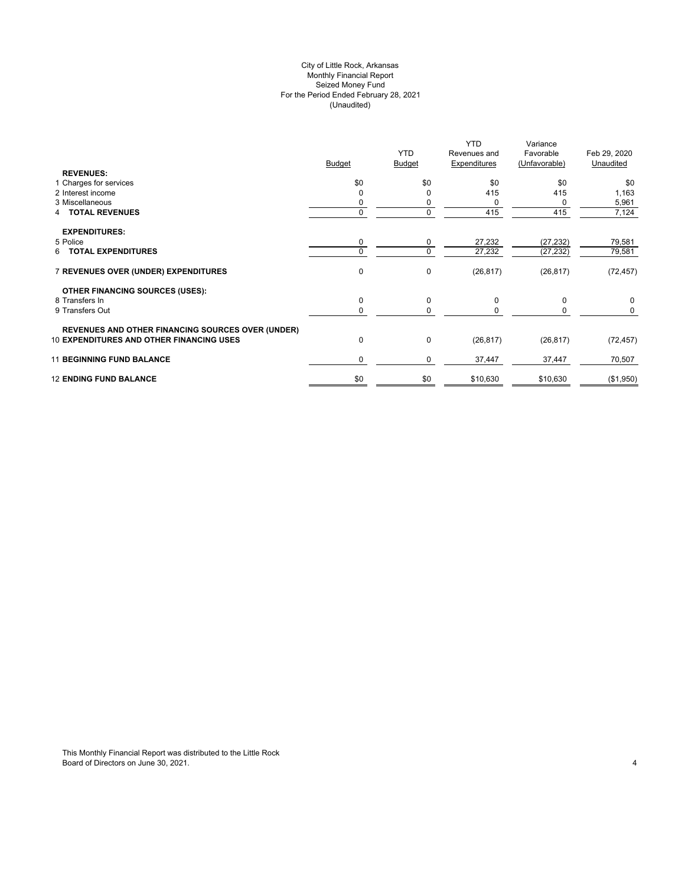# City of Little Rock, Arkansas (Unaudited) For the Period Ended February 28, 2021 Seized Money Fund Monthly Financial Report

| <b>REVENUES:</b>                                         | <b>Budget</b> | <b>YTD</b><br><b>Budget</b> | <b>YTD</b><br>Revenues and<br>Expenditures | Variance<br>Favorable<br>(Unfavorable) | Feb 29, 2020<br>Unaudited |
|----------------------------------------------------------|---------------|-----------------------------|--------------------------------------------|----------------------------------------|---------------------------|
| 1 Charges for services                                   | \$0           | \$0                         | \$0                                        | \$0                                    | \$0                       |
| 2 Interest income                                        |               | 0                           | 415                                        | 415                                    | 1,163                     |
| 3 Miscellaneous                                          |               | 0                           | 0                                          | 0                                      | 5,961                     |
| <b>4 TOTAL REVENUES</b>                                  |               | 0                           | 415                                        | 415                                    | 7,124                     |
| <b>EXPENDITURES:</b>                                     |               |                             |                                            |                                        |                           |
| 5 Police                                                 | 0             | 0                           | 27,232                                     | (27, 232)                              | 79,581                    |
| <b>6 TOTAL EXPENDITURES</b>                              |               | 0                           | 27,232                                     | (27, 232)                              | 79,581                    |
| 7 REVENUES OVER (UNDER) EXPENDITURES                     | $\mathbf 0$   | 0                           | (26, 817)                                  | (26, 817)                              | (72, 457)                 |
| <b>OTHER FINANCING SOURCES (USES):</b>                   |               |                             |                                            |                                        |                           |
| 8 Transfers In                                           | 0             | 0                           | 0                                          | $\mathbf 0$                            | 0                         |
| 9 Transfers Out                                          |               | 0                           | 0                                          | 0                                      | 0                         |
| <b>REVENUES AND OTHER FINANCING SOURCES OVER (UNDER)</b> |               |                             |                                            |                                        |                           |
| <b>10 EXPENDITURES AND OTHER FINANCING USES</b>          | $\mathbf 0$   | 0                           | (26, 817)                                  | (26, 817)                              | (72, 457)                 |
| <b>11 BEGINNING FUND BALANCE</b>                         | $\Omega$      | 0                           | 37,447                                     | 37,447                                 | 70,507                    |
| <b>12 ENDING FUND BALANCE</b>                            | \$0           | \$0                         | \$10,630                                   | \$10,630                               | (\$1,950)                 |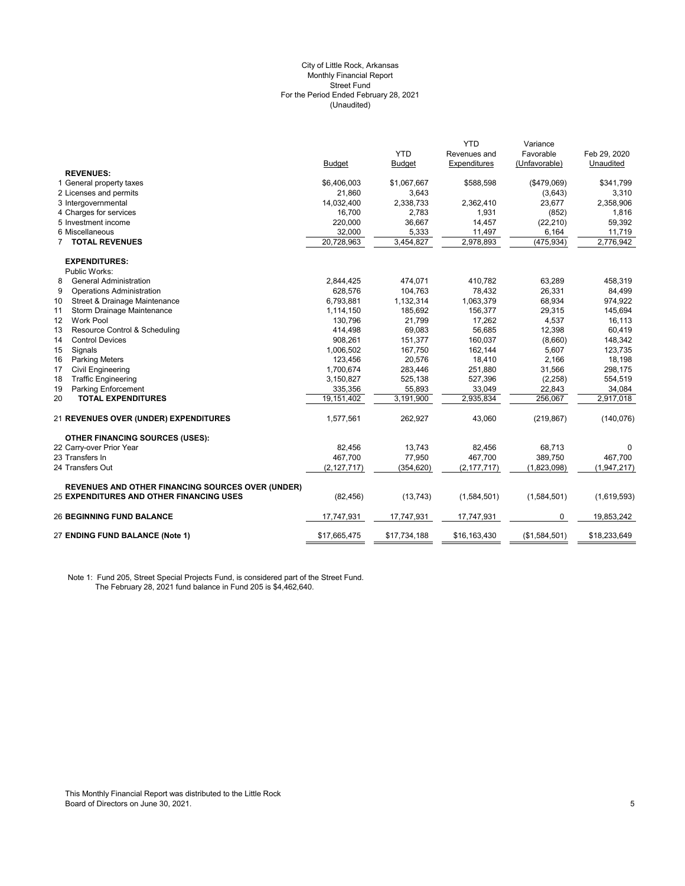#### (Unaudited) City of Little Rock, Arkansas Monthly Financial Report Street Fund For the Period Ended February 28, 2021

|                                                          |               |               | <b>YTD</b>    | Variance      |              |
|----------------------------------------------------------|---------------|---------------|---------------|---------------|--------------|
|                                                          |               | <b>YTD</b>    | Revenues and  | Favorable     | Feb 29, 2020 |
|                                                          | <b>Budget</b> | <b>Budget</b> | Expenditures  | (Unfavorable) | Unaudited    |
| <b>REVENUES:</b>                                         |               |               |               |               |              |
| 1 General property taxes                                 | \$6,406,003   | \$1,067,667   | \$588,598     | (\$479,069)   | \$341,799    |
| 2 Licenses and permits                                   | 21,860        | 3,643         |               | (3,643)       | 3,310        |
| 3 Intergovernmental                                      | 14,032,400    | 2,338,733     | 2,362,410     | 23,677        | 2,358,906    |
| 4 Charges for services                                   | 16,700        | 2,783         | 1,931         | (852)         | 1,816        |
| 5 Investment income                                      | 220,000       | 36,667        | 14,457        | (22, 210)     | 59,392       |
| 6 Miscellaneous                                          | 32,000        | 5,333         | 11,497        | 6,164         | 11,719       |
| <b>7 TOTAL REVENUES</b>                                  | 20,728,963    | 3,454,827     | 2,978,893     | (475, 934)    | 2,776,942    |
| <b>EXPENDITURES:</b>                                     |               |               |               |               |              |
| Public Works:                                            |               |               |               |               |              |
| <b>General Administration</b><br>8                       | 2,844,425     | 474,071       | 410,782       | 63,289        | 458,319      |
| 9<br><b>Operations Administration</b>                    | 628,576       | 104,763       | 78,432        | 26,331        | 84,499       |
| Street & Drainage Maintenance<br>10                      | 6,793,881     | 1,132,314     | 1,063,379     | 68,934        | 974,922      |
| 11<br>Storm Drainage Maintenance                         | 1,114,150     | 185,692       | 156,377       | 29,315        | 145,694      |
| Work Pool<br>12                                          | 130,796       | 21.799        | 17.262        | 4,537         | 16,113       |
| Resource Control & Scheduling<br>13                      | 414,498       | 69,083        | 56,685        | 12,398        | 60,419       |
| <b>Control Devices</b><br>14                             | 908,261       | 151,377       | 160,037       | (8,660)       | 148,342      |
| 15<br>Signals                                            | 1,006,502     | 167,750       | 162,144       | 5,607         | 123,735      |
| 16<br><b>Parking Meters</b>                              | 123,456       | 20,576        | 18,410        | 2,166         | 18,198       |
| 17<br><b>Civil Engineering</b>                           | 1,700,674     | 283,446       | 251,880       | 31,566        | 298,175      |
| <b>Traffic Engineering</b><br>18                         | 3,150,827     | 525,138       | 527,396       | (2, 258)      | 554,519      |
| 19<br><b>Parking Enforcement</b>                         | 335,356       | 55,893        | 33,049        | 22,843        | 34,084       |
| 20<br><b>TOTAL EXPENDITURES</b>                          | 19,151,402    | 3,191,900     | 2,935,834     | 256.067       | 2,917,018    |
| <b>21 REVENUES OVER (UNDER) EXPENDITURES</b>             | 1,577,561     | 262,927       | 43,060        | (219, 867)    | (140, 076)   |
| <b>OTHER FINANCING SOURCES (USES):</b>                   |               |               |               |               |              |
| 22 Carry-over Prior Year                                 | 82,456        | 13,743        | 82,456        | 68,713        | $\Omega$     |
| 23 Transfers In                                          | 467.700       | 77,950        | 467,700       | 389.750       | 467.700      |
| 24 Transfers Out                                         | (2, 127, 717) | (354, 620)    | (2, 177, 717) | (1,823,098)   | (1,947,217)  |
| <b>REVENUES AND OTHER FINANCING SOURCES OVER (UNDER)</b> |               |               |               |               |              |
| <b>25 EXPENDITURES AND OTHER FINANCING USES</b>          | (82, 456)     | (13, 743)     | (1,584,501)   | (1,584,501)   | (1,619,593)  |
| <b>26 BEGINNING FUND BALANCE</b>                         | 17,747,931    | 17,747,931    | 17,747,931    | 0             | 19,853,242   |
| 27 ENDING FUND BALANCE (Note 1)                          | \$17,665,475  | \$17,734,188  | \$16,163,430  | (\$1,584,501) | \$18,233,649 |
|                                                          |               |               |               |               |              |

Note 1: Fund 205, Street Special Projects Fund, is considered part of the Street Fund. The February 28, 2021 fund balance in Fund 205 is \$4,462,640.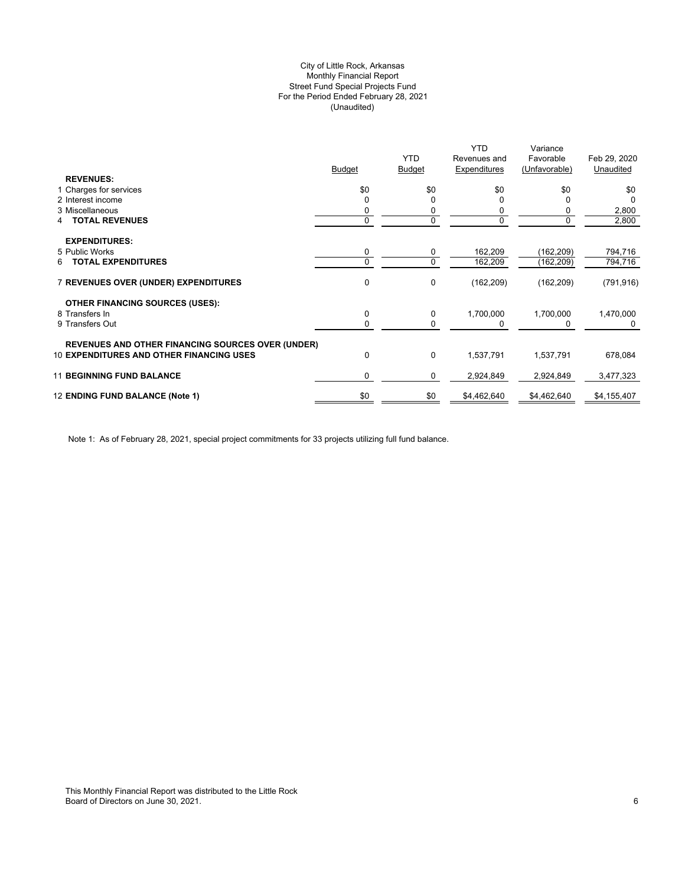# (Unaudited) City of Little Rock, Arkansas Monthly Financial Report Street Fund Special Projects Fund For the Period Ended February 28, 2021

|                                                          |        |               | <b>YTD</b>   | Variance      |              |
|----------------------------------------------------------|--------|---------------|--------------|---------------|--------------|
|                                                          |        | <b>YTD</b>    | Revenues and | Favorable     | Feb 29, 2020 |
|                                                          | Budget | <b>Budget</b> | Expenditures | (Unfavorable) | Unaudited    |
| <b>REVENUES:</b>                                         |        |               |              |               |              |
| 1 Charges for services                                   | \$0    | \$0           | \$0          | \$0           | \$0          |
| 2 Interest income                                        |        | $\Omega$      |              | 0             | $\Omega$     |
| 3 Miscellaneous                                          |        | 0             |              | 0             | 2,800        |
| <b>TOTAL REVENUES</b><br>4                               | 0      | 0             |              | 0             | 2,800        |
|                                                          |        |               |              |               |              |
| <b>EXPENDITURES:</b>                                     |        |               |              |               |              |
| 5 Public Works                                           | 0      | 0             | 162,209      | (162,209)     | 794,716      |
| <b>TOTAL EXPENDITURES</b><br>6                           | 0      | $\mathbf 0$   | 162,209      | (162, 209)    | 794,716      |
|                                                          |        |               |              |               |              |
| <b>7 REVENUES OVER (UNDER) EXPENDITURES</b>              | 0      | 0             | (162, 209)   | (162, 209)    | (791, 916)   |
|                                                          |        |               |              |               |              |
| <b>OTHER FINANCING SOURCES (USES):</b>                   |        |               |              |               |              |
| 8 Transfers In                                           | 0      | 0             | 1,700,000    | 1,700,000     | 1,470,000    |
| 9 Transfers Out                                          | 0      | 0             |              | 0             |              |
|                                                          |        |               |              |               |              |
| <b>REVENUES AND OTHER FINANCING SOURCES OVER (UNDER)</b> |        |               |              |               |              |
| <b>10 EXPENDITURES AND OTHER FINANCING USES</b>          | 0      | 0             | 1,537,791    | 1,537,791     | 678,084      |
|                                                          |        |               |              |               |              |
| <b>11 BEGINNING FUND BALANCE</b>                         | 0      | 0             | 2,924,849    | 2,924,849     | 3,477,323    |
|                                                          |        |               |              |               |              |
| 12 ENDING FUND BALANCE (Note 1)                          | \$0    | \$0           | \$4,462,640  | \$4,462,640   | \$4,155,407  |
|                                                          |        |               |              |               |              |

Note 1: As of February 28, 2021, special project commitments for 33 projects utilizing full fund balance.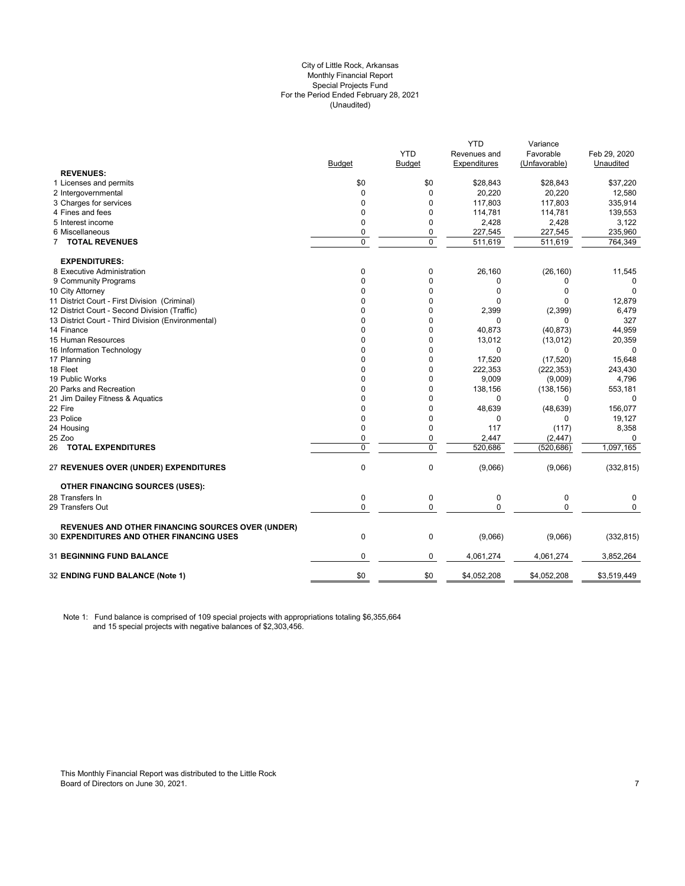#### City of Little Rock, Arkansas (Unaudited) For the Period Ended February 28, 2021 Special Projects Fund Monthly Financial Report

|                                                          |                |            | YTD          | Variance      |              |
|----------------------------------------------------------|----------------|------------|--------------|---------------|--------------|
|                                                          |                | <b>YTD</b> | Revenues and | Favorable     | Feb 29, 2020 |
|                                                          | <b>Budget</b>  | Budget     | Expenditures | (Unfavorable) | Unaudited    |
| <b>REVENUES:</b>                                         |                |            |              |               |              |
| 1 Licenses and permits                                   | \$0            | \$0        | \$28,843     | \$28,843      | \$37,220     |
| 2 Intergovernmental                                      | 0              | 0          | 20,220       | 20,220        | 12,580       |
| 3 Charges for services                                   | $\Omega$       | 0          | 117,803      | 117,803       | 335,914      |
| 4 Fines and fees                                         | $\mathbf 0$    | 0          | 114,781      | 114,781       | 139,553      |
| 5 Interest income                                        | $\mathbf 0$    | 0          | 2,428        | 2,428         | 3,122        |
| 6 Miscellaneous                                          | $\mathbf 0$    | 0          | 227,545      | 227,545       | 235,960      |
| <b>7 TOTAL REVENUES</b>                                  | $\overline{0}$ | 0          | 511,619      | 511,619       | 764,349      |
| <b>EXPENDITURES:</b>                                     |                |            |              |               |              |
| 8 Executive Administration                               | 0              | 0          | 26,160       | (26, 160)     | 11,545       |
| 9 Community Programs                                     | $\mathbf 0$    | 0          | 0            | 0             | 0            |
| 10 City Attorney                                         | 0              | 0          | 0            | $\Omega$      | 0            |
| 11 District Court - First Division (Criminal)            | $\Omega$       | 0          | $\Omega$     | $\Omega$      | 12,879       |
| 12 District Court - Second Division (Traffic)            | 0              | 0          | 2,399        | (2, 399)      | 6,479        |
| 13 District Court - Third Division (Environmental)       | $\Omega$       | $\Omega$   | 0            | 0             | 327          |
| 14 Finance                                               | 0              | 0          | 40,873       | (40, 873)     | 44,959       |
| 15 Human Resources                                       | 0              | 0          | 13,012       | (13,012)      | 20,359       |
| 16 Information Technology                                | $\Omega$       | 0          | 0            | 0             |              |
| 17 Planning                                              | $\Omega$       | 0          | 17,520       | (17, 520)     | 15,648       |
| 18 Fleet                                                 | $\Omega$       | 0          | 222,353      | (222, 353)    | 243,430      |
| 19 Public Works                                          | $\Omega$       | 0          | 9,009        | (9,009)       | 4,796        |
| 20 Parks and Recreation                                  | 0              | 0          | 138,156      | (138, 156)    | 553,181      |
| 21 Jim Dailey Fitness & Aquatics                         | 0              | 0          | 0            | 0             | $\mathbf 0$  |
| 22 Fire                                                  | $\Omega$       | $\Omega$   | 48,639       | (48, 639)     | 156,077      |
| 23 Police                                                | 0              | 0          | 0            | 0             | 19,127       |
| 24 Housing                                               | $\mathbf 0$    | 0          | 117          | (117)         | 8,358        |
| 25 Zoo                                                   | $\mathbf 0$    | 0          | 2,447        | (2, 447)      | 0            |
| 26 TOTAL EXPENDITURES                                    | $\pmb{0}$      | 0          | 520,686      | (520, 686)    | 1,097,165    |
| 27 REVENUES OVER (UNDER) EXPENDITURES                    | $\mathbf 0$    | 0          | (9,066)      | (9,066)       | (332, 815)   |
| <b>OTHER FINANCING SOURCES (USES):</b>                   |                |            |              |               |              |
| 28 Transfers In                                          | $\mathbf 0$    | 0          | $\mathbf 0$  | $\pmb{0}$     | $\mathbf 0$  |
| 29 Transfers Out                                         | 0              | 0          | $\mathbf{0}$ | 0             | $\mathbf 0$  |
| <b>REVENUES AND OTHER FINANCING SOURCES OVER (UNDER)</b> |                |            |              |               |              |
| <b>30 EXPENDITURES AND OTHER FINANCING USES</b>          | $\mathbf 0$    | 0          | (9,066)      | (9,066)       | (332, 815)   |
| <b>31 BEGINNING FUND BALANCE</b>                         | $\mathbf 0$    | 0          | 4,061,274    | 4,061,274     | 3,852,264    |
| 32 ENDING FUND BALANCE (Note 1)                          | \$0            | \$0        | \$4,052,208  | \$4,052,208   | \$3,519,449  |
|                                                          |                |            |              |               |              |

Note 1: Fund balance is comprised of 109 special projects with appropriations totaling \$6,355,664 and 15 special projects with negative balances of \$2,303,456.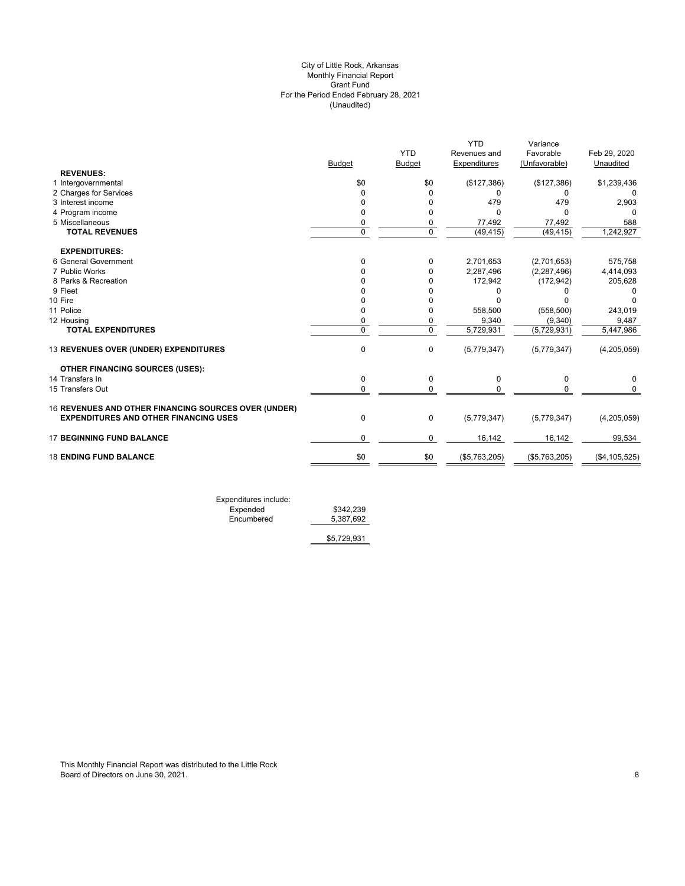# (Unaudited) City of Little Rock, Arkansas Monthly Financial Report Grant Fund For the Period Ended February 28, 2021

|                                                      |                |                | <b>YTD</b>    | Variance      |                 |
|------------------------------------------------------|----------------|----------------|---------------|---------------|-----------------|
|                                                      |                | <b>YTD</b>     | Revenues and  | Favorable     | Feb 29, 2020    |
|                                                      | <b>Budget</b>  | <b>Budget</b>  | Expenditures  | (Unfavorable) | Unaudited       |
| <b>REVENUES:</b>                                     |                |                |               |               |                 |
| 1 Intergovernmental                                  | \$0            | \$0            | (\$127,386)   | (\$127,386)   | \$1,239,436     |
| 2 Charges for Services                               | 0              | 0              |               | 0             |                 |
| 3 Interest income                                    | 0              | $\Omega$       | 479           | 479           | 2,903           |
| 4 Program income                                     | $\Omega$       | 0              | n             | $\Omega$      | <sup>0</sup>    |
| 5 Miscellaneous                                      | 0              | 0              | 77,492        | 77,492        | 588             |
| <b>TOTAL REVENUES</b>                                | $\overline{0}$ | $\overline{0}$ | (49, 415)     | (49, 415)     | 1,242,927       |
| <b>EXPENDITURES:</b>                                 |                |                |               |               |                 |
| 6 General Government                                 | $\Omega$       | 0              | 2,701,653     | (2,701,653)   | 575,758         |
| 7 Public Works                                       |                | 0              | 2,287,496     | (2, 287, 496) | 4,414,093       |
| 8 Parks & Recreation                                 |                | 0              | 172,942       | (172, 942)    | 205,628         |
| 9 Fleet                                              |                | $\Omega$       |               |               |                 |
| 10 Fire                                              |                | 0              |               |               |                 |
| 11 Police                                            | 0              | 0              | 558,500       | (558, 500)    | 243,019         |
| 12 Housing                                           | 0              | 0              | 9,340         | (9,340)       | 9,487           |
| <b>TOTAL EXPENDITURES</b>                            | $\Omega$       | $\overline{0}$ | 5,729,931     | (5,729,931)   | 5,447,986       |
| 13 REVENUES OVER (UNDER) EXPENDITURES                | $\mathbf 0$    | 0              | (5,779,347)   | (5,779,347)   | (4,205,059)     |
| <b>OTHER FINANCING SOURCES (USES):</b>               |                |                |               |               |                 |
| 14 Transfers In                                      | 0              | 0              | $\Omega$      | 0             | 0               |
| 15 Transfers Out                                     | $\Omega$       | 0              | U             | $\Omega$      | $\Omega$        |
| 16 REVENUES AND OTHER FINANCING SOURCES OVER (UNDER) |                |                |               |               |                 |
| <b>EXPENDITURES AND OTHER FINANCING USES</b>         | $\mathbf 0$    | 0              | (5,779,347)   | (5,779,347)   | (4,205,059)     |
| <b>17 BEGINNING FUND BALANCE</b>                     | $\mathbf 0$    | 0              | 16,142        | 16,142        | 99,534          |
| <b>18 ENDING FUND BALANCE</b>                        | \$0            | \$0            | (\$5,763,205) | (\$5,763,205) | (\$4, 105, 525) |
|                                                      |                |                |               |               |                 |

Expenditures include: Expended \$342,239 Encumbered 5,387,692

\$5,729,931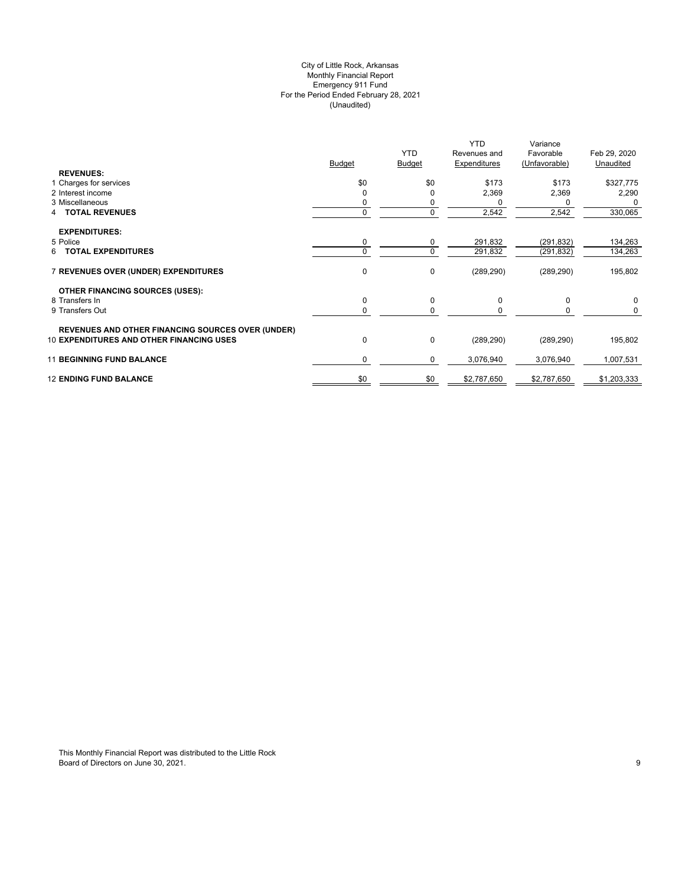# (Unaudited) City of Little Rock, Arkansas Monthly Financial Report Emergency 911 Fund For the Period Ended February 28, 2021

|                                                          |               | <b>YTD</b>    | YTD<br>Revenues and | Variance<br>Favorable | Feb 29, 2020 |
|----------------------------------------------------------|---------------|---------------|---------------------|-----------------------|--------------|
|                                                          | <b>Budget</b> | <b>Budget</b> | Expenditures        | (Unfavorable)         | Unaudited    |
| <b>REVENUES:</b>                                         |               |               |                     |                       |              |
| 1 Charges for services                                   | \$0           | \$0           | \$173               | \$173                 | \$327,775    |
| 2 Interest income                                        |               |               | 2,369               | 2,369                 | 2,290        |
| 3 Miscellaneous                                          |               |               |                     | 0                     | $\Omega$     |
| <b>TOTAL REVENUES</b>                                    | 0             | $\mathbf 0$   | 2,542               | 2,542                 | 330,065      |
| <b>EXPENDITURES:</b>                                     |               |               |                     |                       |              |
| 5 Police                                                 | 0             | 0             | 291,832             | (291,832)             | 134,263      |
| <b>TOTAL EXPENDITURES</b><br>6                           | 0             | $\mathbf 0$   | 291,832             | (291, 832)            | 134,263      |
|                                                          |               |               |                     |                       |              |
| 7 REVENUES OVER (UNDER) EXPENDITURES                     | 0             | 0             | (289, 290)          | (289, 290)            | 195,802      |
|                                                          |               |               |                     |                       |              |
| <b>OTHER FINANCING SOURCES (USES):</b><br>8 Transfers In | 0             | 0             | 0                   | 0                     | 0            |
| 9 Transfers Out                                          | 0             | 0             |                     |                       | 0            |
|                                                          |               |               |                     |                       |              |
| <b>REVENUES AND OTHER FINANCING SOURCES OVER (UNDER)</b> |               |               |                     |                       |              |
| <b>10 EXPENDITURES AND OTHER FINANCING USES</b>          | 0             | 0             | (289, 290)          | (289, 290)            | 195,802      |
| <b>11 BEGINNING FUND BALANCE</b>                         |               |               |                     |                       |              |
|                                                          | 0             | 0             | 3,076,940           | 3,076,940             | 1,007,531    |
| <b>12 ENDING FUND BALANCE</b>                            | \$0           | \$0           | \$2,787,650         | \$2,787,650           | \$1,203,333  |
|                                                          |               |               |                     |                       |              |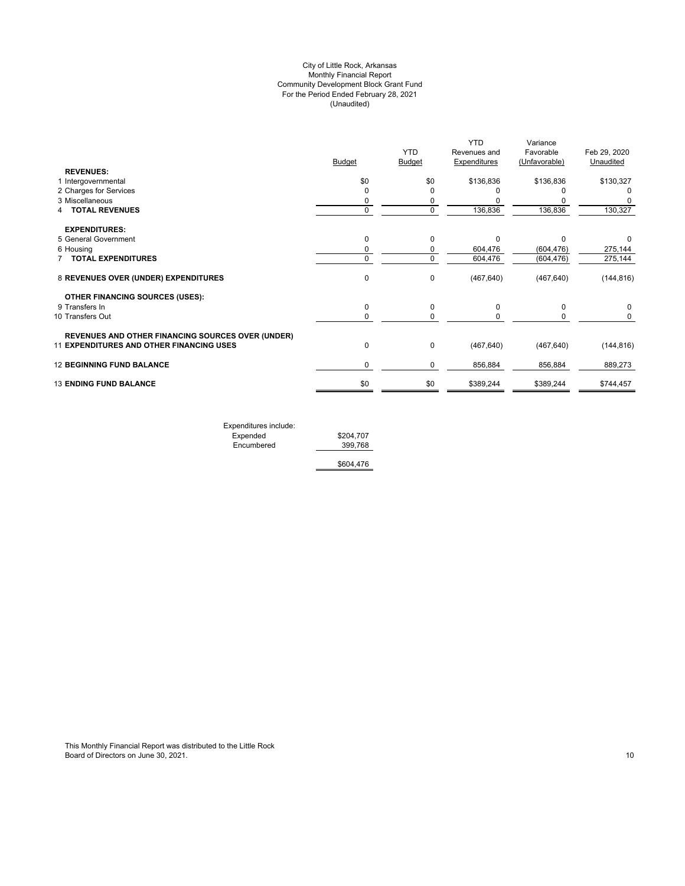# (Unaudited) City of Little Rock, Arkansas Monthly Financial Report Community Development Block Grant Fund For the Period Ended February 28, 2021

|                                                          |               | <b>YTD</b> | <b>YTD</b><br>Revenues and | Variance<br>Favorable<br>(Unfavorable) | Feb 29, 2020<br>Unaudited |
|----------------------------------------------------------|---------------|------------|----------------------------|----------------------------------------|---------------------------|
| <b>REVENUES:</b>                                         | <b>Budget</b> | Budget     | Expenditures               |                                        |                           |
| 1 Intergovernmental                                      | \$0           | \$0        | \$136,836                  | \$136,836                              | \$130,327                 |
| 2 Charges for Services                                   | $\Omega$      |            |                            |                                        | 0                         |
| 3 Miscellaneous                                          | 0             | 0          |                            |                                        |                           |
| <b>TOTAL REVENUES</b>                                    | 0             | $\Omega$   | 136,836                    | 136,836                                | 130,327                   |
| <b>EXPENDITURES:</b>                                     |               |            |                            |                                        |                           |
| 5 General Government                                     | 0             | $\Omega$   | U                          | O                                      | 0                         |
| 6 Housing                                                | 0             | 0          | 604,476                    | (604, 476)                             | 275,144                   |
| <b>TOTAL EXPENDITURES</b>                                | 0             | $\Omega$   | 604,476                    | (604, 476)                             | 275,144                   |
| 8 REVENUES OVER (UNDER) EXPENDITURES                     | 0             | 0          | (467, 640)                 | (467, 640)                             | (144, 816)                |
| <b>OTHER FINANCING SOURCES (USES):</b>                   |               |            |                            |                                        |                           |
| 9 Transfers In                                           | 0             | 0          | $\Omega$                   | $\Omega$                               | 0                         |
| 10 Transfers Out                                         | $\mathbf 0$   | $\Omega$   |                            | 0                                      | 0                         |
| <b>REVENUES AND OTHER FINANCING SOURCES OVER (UNDER)</b> |               |            |                            |                                        |                           |
| <b>11 EXPENDITURES AND OTHER FINANCING USES</b>          | $\mathbf 0$   | 0          | (467, 640)                 | (467, 640)                             | (144, 816)                |
| <b>12 BEGINNING FUND BALANCE</b>                         | 0             | 0          | 856,884                    | 856,884                                | 889,273                   |
| <b>13 ENDING FUND BALANCE</b>                            | \$0           | \$0        | \$389,244                  | \$389,244                              | \$744,457                 |
|                                                          |               |            |                            |                                        |                           |

| Expenditures include: |           |
|-----------------------|-----------|
| Expended              | \$204,707 |
| Encumbered            | 399.768   |
|                       | \$604.476 |

This Monthly Financial Report was distributed to the Little Rock Board of Directors on June 30, 2021. 2008. The state of the state of the state of the state of the state of the state of the state of the state of the state of the state of the state of the state of the state of the state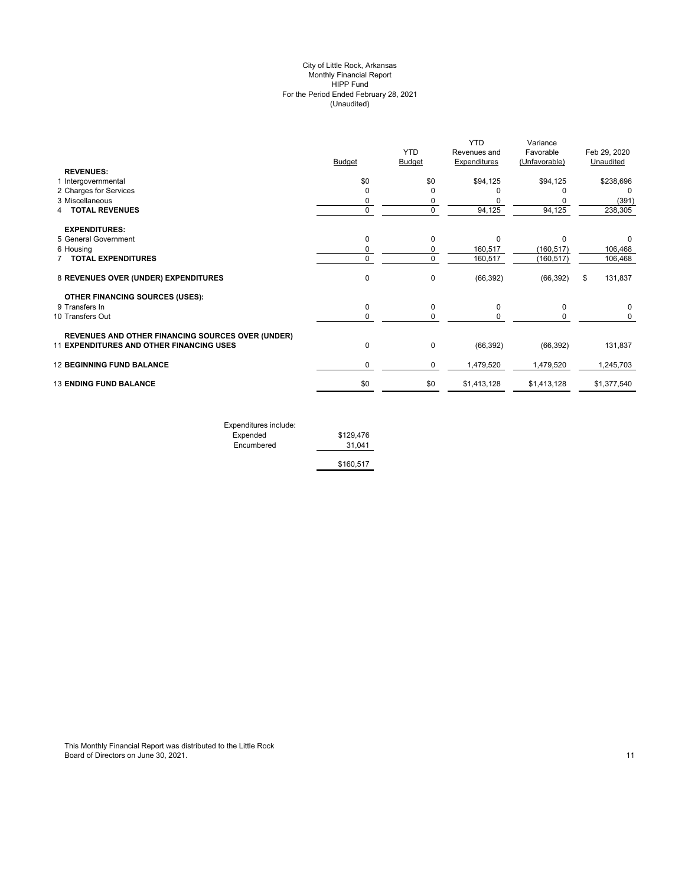#### (Unaudited) City of Little Rock, Arkansas Monthly Financial Report HIPP Fund For the Period Ended February 28, 2021

|                                                          |               | <b>YTD</b>    | <b>YTD</b><br>Revenues and | Variance<br>Favorable | Feb 29, 2020  |
|----------------------------------------------------------|---------------|---------------|----------------------------|-----------------------|---------------|
|                                                          | <b>Budget</b> | <b>Budget</b> | <b>Expenditures</b>        | (Unfavorable)         | Unaudited     |
| <b>REVENUES:</b>                                         |               |               |                            |                       |               |
| 1 Intergovernmental                                      | \$0           | \$0           | \$94,125                   | \$94,125              | \$238,696     |
| 2 Charges for Services                                   | 0             | 0             |                            |                       | 0             |
| 3 Miscellaneous                                          | 0             | 0             |                            |                       | (391)         |
| <b>TOTAL REVENUES</b>                                    | $\mathbf 0$   | 0             | 94,125                     | 94,125                | 238,305       |
| <b>EXPENDITURES:</b>                                     |               |               |                            |                       |               |
| 5 General Government                                     | $\mathbf 0$   | $\Omega$      | $\Omega$                   | $\Omega$              | 0             |
| 6 Housing                                                | 0             | 0             | 160,517                    | (160, 517)            | 106,468       |
| <b>TOTAL EXPENDITURES</b>                                | $\mathbf 0$   | 0             | 160,517                    | (160, 517)            | 106,468       |
| 8 REVENUES OVER (UNDER) EXPENDITURES                     | 0             | 0             | (66, 392)                  | (66, 392)             | 131,837<br>\$ |
| <b>OTHER FINANCING SOURCES (USES):</b>                   |               |               |                            |                       |               |
| 9 Transfers In                                           | 0             | 0             | $\Omega$                   | $\Omega$              | 0             |
| 10 Transfers Out                                         | 0             | 0             | 0                          | 0                     | 0             |
| <b>REVENUES AND OTHER FINANCING SOURCES OVER (UNDER)</b> |               |               |                            |                       |               |
| 11 EXPENDITURES AND OTHER FINANCING USES                 | 0             | 0             | (66, 392)                  | (66, 392)             | 131,837       |
| <b>12 BEGINNING FUND BALANCE</b>                         | 0             | 0             | 1,479,520                  | 1,479,520             | 1,245,703     |
| <b>13 ENDING FUND BALANCE</b>                            | \$0           | \$0           | \$1,413,128                | \$1,413,128           | \$1,377,540   |
|                                                          |               |               |                            |                       |               |

| Expenditures include: |           |
|-----------------------|-----------|
| Expended              | \$129,476 |
| Encumbered            | 31.041    |
|                       | \$160,517 |

This Monthly Financial Report was distributed to the Little Rock Board of Directors on June 30, 2021. 2003. The second second second second second second second second second second second second second second second second second second second second second second second second second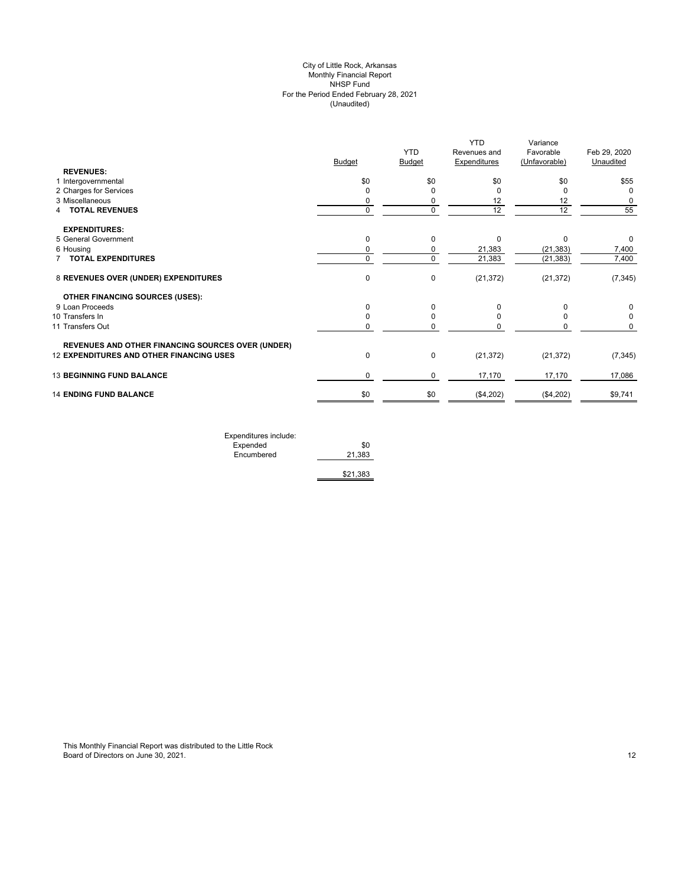# (Unaudited) City of Little Rock, Arkansas Monthly Financial Report NHSP Fund For the Period Ended February 28, 2021

|                                                          |               | <b>YTD</b>    | <b>YTD</b><br>Revenues and | Variance<br>Favorable | Feb 29, 2020 |
|----------------------------------------------------------|---------------|---------------|----------------------------|-----------------------|--------------|
| <b>REVENUES:</b>                                         | <b>Budget</b> | <b>Budget</b> | <b>Expenditures</b>        | (Unfavorable)         | Unaudited    |
| 1 Intergovernmental                                      | \$0           | \$0           | \$0                        | \$0                   | \$55         |
| 2 Charges for Services                                   | $\Omega$      |               | 0                          |                       | 0            |
| 3 Miscellaneous                                          | 0             |               | 12                         | 12                    | 0            |
| <b>4 TOTAL REVENUES</b>                                  | $\mathbf 0$   | $\mathbf 0$   | 12                         | 12                    | 55           |
|                                                          |               |               |                            |                       |              |
| <b>EXPENDITURES:</b>                                     |               |               |                            |                       |              |
| 5 General Government                                     | $\mathbf 0$   | 0             | 0                          | $\Omega$              | 0            |
| 6 Housing                                                | 0             | 0             | 21,383                     | (21, 383)             | 7,400        |
| <b>7 TOTAL EXPENDITURES</b>                              | $\mathbf 0$   | $\mathbf 0$   | 21,383                     | (21, 383)             | 7,400        |
| 8 REVENUES OVER (UNDER) EXPENDITURES                     | 0             | 0             | (21, 372)                  | (21, 372)             | (7, 345)     |
| <b>OTHER FINANCING SOURCES (USES):</b>                   |               |               |                            |                       |              |
| 9 Loan Proceeds                                          | 0             | $\Omega$      | O                          |                       | 0            |
| 10 Transfers In                                          | 0             | $\Omega$      |                            |                       | $\Omega$     |
| 11 Transfers Out                                         | 0             | 0             |                            |                       | 0            |
| <b>REVENUES AND OTHER FINANCING SOURCES OVER (UNDER)</b> |               |               |                            |                       |              |
| <b>12 EXPENDITURES AND OTHER FINANCING USES</b>          | $\pmb{0}$     | $\mathbf 0$   | (21, 372)                  | (21, 372)             | (7, 345)     |
| <b>13 BEGINNING FUND BALANCE</b>                         | 0             | 0             | 17,170                     | 17,170                | 17,086       |
| <b>14 ENDING FUND BALANCE</b>                            | \$0           | \$0           | (\$4,202)                  | (\$4,202)             | \$9,741      |
|                                                          |               |               |                            |                       |              |

| Expenditures include: |          |
|-----------------------|----------|
| Expended              | \$0      |
| Encumbered            | 21,383   |
|                       |          |
|                       | \$21,383 |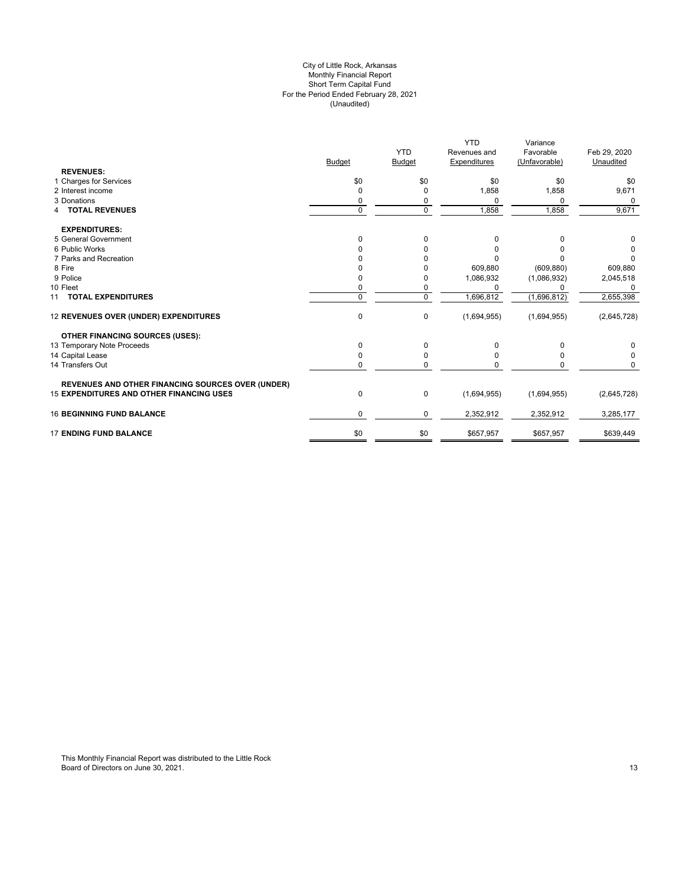#### For the Period Ended February 28, 2021 (Unaudited) City of Little Rock, Arkansas Monthly Financial Report Short Term Capital Fund

|                                                          |          |               | <b>YTD</b>   | Variance      |              |
|----------------------------------------------------------|----------|---------------|--------------|---------------|--------------|
|                                                          |          | <b>YTD</b>    | Revenues and | Favorable     | Feb 29, 2020 |
|                                                          | Budget   | <b>Budget</b> | Expenditures | (Unfavorable) | Unaudited    |
| <b>REVENUES:</b>                                         |          |               |              |               |              |
| 1 Charges for Services                                   | \$0      | \$0           | \$0          | \$0           | \$0          |
| 2 Interest income                                        | $\Omega$ | 0             | 1,858        | 1,858         | 9,671        |
| 3 Donations                                              |          | 0             | $\Omega$     | 0             | $\Omega$     |
| <b>4 TOTAL REVENUES</b>                                  | $\Omega$ | $\Omega$      | 1,858        | 1,858         | 9,671        |
| <b>EXPENDITURES:</b>                                     |          |               |              |               |              |
| 5 General Government                                     | $\Omega$ | $\mathbf 0$   | 0            | 0             | 0            |
| 6 Public Works                                           |          |               | 0            | n             | 0            |
| 7 Parks and Recreation                                   |          |               |              |               | 0            |
| 8 Fire                                                   |          |               | 609,880      | (609, 880)    | 609,880      |
| 9 Police                                                 |          |               | 1,086,932    | (1,086,932)   | 2,045,518    |
| 10 Fleet                                                 | 0        | 0             | $\Omega$     | n             | $\Omega$     |
| 11 TOTAL EXPENDITURES                                    | $\Omega$ | $\mathbf 0$   | 1,696,812    | (1,696,812)   | 2,655,398    |
| 12 REVENUES OVER (UNDER) EXPENDITURES                    | 0        | $\mathbf 0$   | (1,694,955)  | (1,694,955)   | (2,645,728)  |
| <b>OTHER FINANCING SOURCES (USES):</b>                   |          |               |              |               |              |
| 13 Temporary Note Proceeds                               | 0        | $\mathbf 0$   | 0            | 0             | 0            |
| 14 Capital Lease                                         | 0        | 0             | $\Omega$     | 0             | 0            |
| 14 Transfers Out                                         | 0        | $\mathbf 0$   |              |               | 0            |
| <b>REVENUES AND OTHER FINANCING SOURCES OVER (UNDER)</b> |          |               |              |               |              |
| <b>15 EXPENDITURES AND OTHER FINANCING USES</b>          | 0        | 0             | (1,694,955)  | (1,694,955)   | (2,645,728)  |
| <b>16 BEGINNING FUND BALANCE</b>                         | 0        | 0             | 2,352,912    | 2,352,912     | 3,285,177    |
| <b>17 ENDING FUND BALANCE</b>                            | \$0      | \$0           | \$657,957    | \$657,957     | \$639,449    |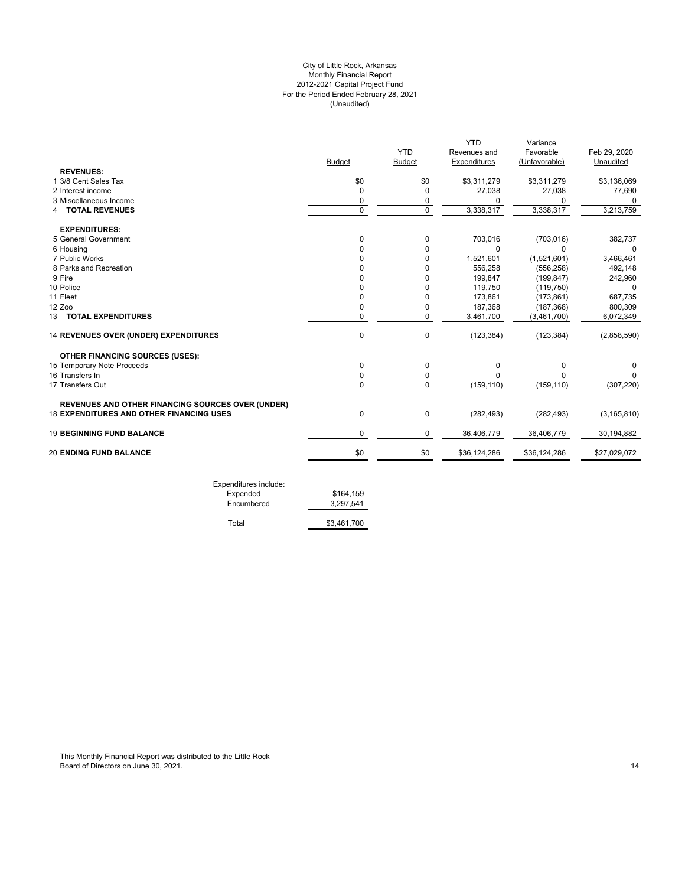# For the Period Ended February 28, 2021 (Unaudited) City of Little Rock, Arkansas Monthly Financial Report 2012-2021 Capital Project Fund

|                                                          |                |                | <b>YTD</b>   | Variance      |               |
|----------------------------------------------------------|----------------|----------------|--------------|---------------|---------------|
|                                                          |                | <b>YTD</b>     | Revenues and | Favorable     | Feb 29, 2020  |
|                                                          | Budget         | <b>Budget</b>  | Expenditures | (Unfavorable) | Unaudited     |
| <b>REVENUES:</b>                                         |                |                |              |               |               |
| 1 3/8 Cent Sales Tax                                     | \$0            | \$0            | \$3,311,279  | \$3,311,279   | \$3,136,069   |
| 2 Interest income                                        | 0              | $\Omega$       | 27,038       | 27,038        | 77,690        |
| 3 Miscellaneous Income                                   | 0              | 0              | O            | 0             | 0             |
| <b>TOTAL REVENUES</b>                                    | $\Omega$       | $\Omega$       | 3,338,317    | 3,338,317     | 3,213,759     |
| <b>EXPENDITURES:</b>                                     |                |                |              |               |               |
| 5 General Government                                     | 0              | $\mathbf 0$    | 703,016      | (703, 016)    | 382,737       |
| 6 Housing                                                | 0              | $\Omega$       | $\Omega$     | $\Omega$      |               |
| 7 Public Works                                           | 0              | $\Omega$       | 1,521,601    | (1,521,601)   | 3,466,461     |
| 8 Parks and Recreation                                   | 0              | $\Omega$       | 556,258      | (556, 258)    | 492,148       |
| 9 Fire                                                   | 0              | $\Omega$       | 199,847      | (199, 847)    | 242,960       |
| 10 Police                                                | 0              | $\Omega$       | 119,750      | (119, 750)    | 0             |
| 11 Fleet                                                 | 0              | $\Omega$       | 173,861      | (173, 861)    | 687,735       |
| 12 Zoo                                                   | 0              | 0              | 187,368      | (187, 368)    | 800,309       |
| 13 TOTAL EXPENDITURES                                    | $\overline{0}$ | $\overline{0}$ | 3,461,700    | (3,461,700)   | 6,072,349     |
| 14 REVENUES OVER (UNDER) EXPENDITURES                    | $\mathbf 0$    | $\mathbf 0$    | (123, 384)   | (123, 384)    | (2,858,590)   |
| <b>OTHER FINANCING SOURCES (USES):</b>                   |                |                |              |               |               |
| 15 Temporary Note Proceeds                               | $\mathbf 0$    | 0              | 0            | 0             | 0             |
| 16 Transfers In                                          | 0              | $\mathbf 0$    | $\Omega$     | $\Omega$      | $\Omega$      |
| 17 Transfers Out                                         | 0              | 0              | (159, 110)   | (159, 110)    | (307, 220)    |
| <b>REVENUES AND OTHER FINANCING SOURCES OVER (UNDER)</b> |                |                |              |               |               |
| <b>18 EXPENDITURES AND OTHER FINANCING USES</b>          | $\mathbf 0$    | 0              | (282, 493)   | (282, 493)    | (3, 165, 810) |
| <b>19 BEGINNING FUND BALANCE</b>                         | 0              | $\mathbf 0$    | 36,406,779   | 36,406,779    | 30,194,882    |
| <b>20 ENDING FUND BALANCE</b>                            | \$0            | \$0            | \$36,124,286 | \$36,124,286  | \$27,029,072  |

| Expended<br>Encumbered | \$164,159<br>3.297.541 |
|------------------------|------------------------|
| Total                  | \$3.461.700            |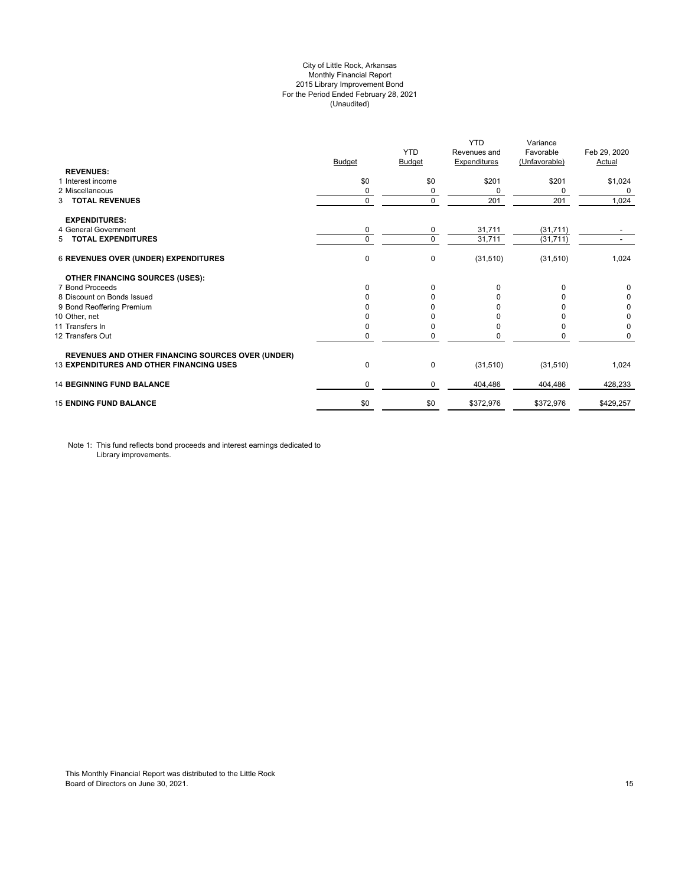# City of Little Rock, Arkansas Monthly Financial Report 2015 Library Improvement Bond For the Period Ended February 28, 2021 (Unaudited)

| <b>REVENUES:</b>                                         | <b>Budget</b> | <b>YTD</b><br>Budget | <b>YTD</b><br>Revenues and<br><b>Expenditures</b> | Variance<br>Favorable<br>(Unfavorable) | Feb 29, 2020<br>Actual |
|----------------------------------------------------------|---------------|----------------------|---------------------------------------------------|----------------------------------------|------------------------|
| 1 Interest income                                        | \$0           | \$0                  | \$201                                             | \$201                                  | \$1,024                |
| 2 Miscellaneous                                          | 0             | 0                    | 0                                                 | 0                                      | 0                      |
| <b>TOTAL REVENUES</b><br>3                               | 0             | $\Omega$             | 201                                               | 201                                    | 1,024                  |
| <b>EXPENDITURES:</b>                                     |               |                      |                                                   |                                        |                        |
| 4 General Government                                     | 0             | 0                    | 31,711                                            | (31, 711)                              |                        |
| 5 TOTAL EXPENDITURES                                     | 0             | $\Omega$             | 31,711                                            | (31, 711)                              |                        |
| 6 REVENUES OVER (UNDER) EXPENDITURES                     | 0             | 0                    | (31,510)                                          | (31, 510)                              | 1,024                  |
| <b>OTHER FINANCING SOURCES (USES):</b>                   |               |                      |                                                   |                                        |                        |
| 7 Bond Proceeds                                          | 0             | 0                    | $\Omega$                                          | $\Omega$                               | 0                      |
| 8 Discount on Bonds Issued                               | 0             | <sup>0</sup>         | <sup>0</sup>                                      |                                        | 0                      |
| 9 Bond Reoffering Premium                                | O             |                      |                                                   |                                        | 0                      |
| 10 Other, net                                            |               |                      |                                                   |                                        | 0                      |
| 11 Transfers In                                          | 0             |                      | <sup>0</sup>                                      | n                                      | 0                      |
| 12 Transfers Out                                         | 0             | 0                    | 0                                                 | 0                                      | 0                      |
| <b>REVENUES AND OTHER FINANCING SOURCES OVER (UNDER)</b> |               |                      |                                                   |                                        |                        |
| <b>13 EXPENDITURES AND OTHER FINANCING USES</b>          | $\pmb{0}$     | 0                    | (31,510)                                          | (31, 510)                              | 1,024                  |
| <b>14 BEGINNING FUND BALANCE</b>                         | 0             | 0                    | 404,486                                           | 404,486                                | 428,233                |
| <b>15 ENDING FUND BALANCE</b>                            | \$0           | \$0                  | \$372,976                                         | \$372,976                              | \$429,257              |

Note 1: This fund reflects bond proceeds and interest earnings dedicated to Library improvements.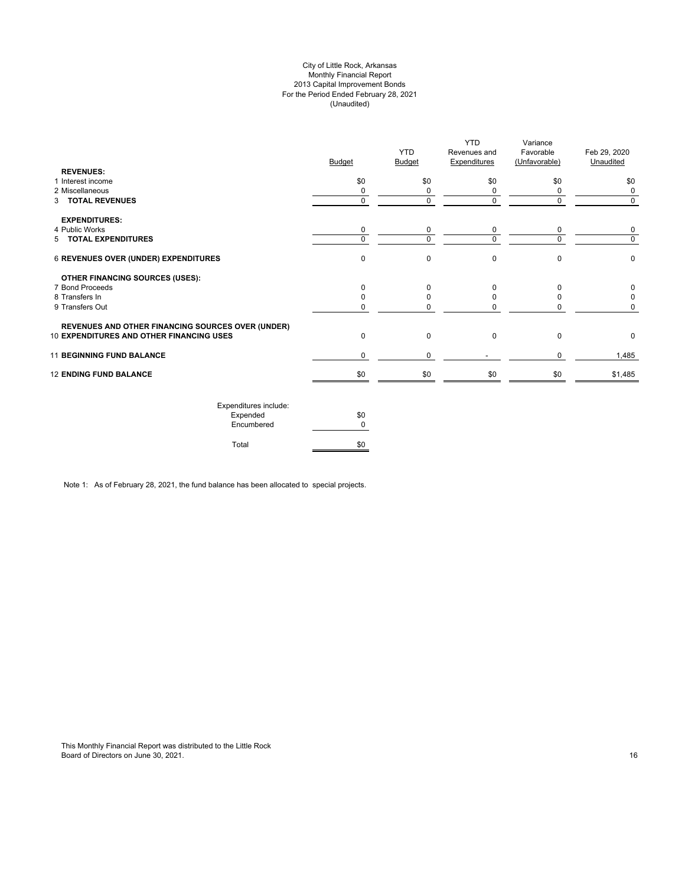# City of Little Rock, Arkansas Monthly Financial Report 2013 Capital Improvement Bonds For the Period Ended February 28, 2021 (Unaudited)

| <b>REVENUES:</b>                                         | <b>Budget</b> | <b>YTD</b><br>Budget | <b>YTD</b><br>Revenues and<br><b>Expenditures</b> | Variance<br>Favorable<br>(Unfavorable) | Feb 29, 2020<br>Unaudited |
|----------------------------------------------------------|---------------|----------------------|---------------------------------------------------|----------------------------------------|---------------------------|
| 1 Interest income                                        | \$0           | \$0                  | \$0                                               | \$0                                    | \$0                       |
| 2 Miscellaneous                                          | $\Omega$      | 0                    | 0                                                 | 0                                      | 0                         |
| 3 TOTAL REVENUES                                         | 0             | 0                    | $\mathbf 0$                                       | $\Omega$                               | 0                         |
| <b>EXPENDITURES:</b>                                     |               |                      |                                                   |                                        |                           |
| 4 Public Works                                           | 0             | 0                    | 0                                                 | 0                                      | 0                         |
| 5 TOTAL EXPENDITURES                                     | $\Omega$      | $\Omega$             | $\Omega$                                          | U                                      | $\Omega$                  |
| 6 REVENUES OVER (UNDER) EXPENDITURES                     | $\Omega$      | $\Omega$             | $\mathbf 0$                                       | $\Omega$                               | 0                         |
| <b>OTHER FINANCING SOURCES (USES):</b>                   |               |                      |                                                   |                                        |                           |
| 7 Bond Proceeds                                          | <sup>n</sup>  | n                    | $\Omega$                                          | n                                      | n                         |
| 8 Transfers In                                           |               |                      | <sup>0</sup>                                      |                                        |                           |
| 9 Transfers Out                                          |               |                      | n                                                 |                                        |                           |
| <b>REVENUES AND OTHER FINANCING SOURCES OVER (UNDER)</b> |               |                      |                                                   |                                        |                           |
| 10 EXPENDITURES AND OTHER FINANCING USES                 | 0             | $\Omega$             | $\mathbf 0$                                       | $\Omega$                               | 0                         |
| <b>11 BEGINNING FUND BALANCE</b>                         | $\Omega$      | 0                    |                                                   | $\Omega$                               | 1,485                     |
| <b>12 ENDING FUND BALANCE</b>                            | \$0           | \$0                  | \$0                                               | \$0                                    | \$1,485                   |
|                                                          |               |                      |                                                   |                                        |                           |

| Expenditures include: |     |
|-----------------------|-----|
| Expended              | \$0 |
| Encumbered            |     |
| Total                 |     |

Note 1: As of February 28, 2021, the fund balance has been allocated to special projects.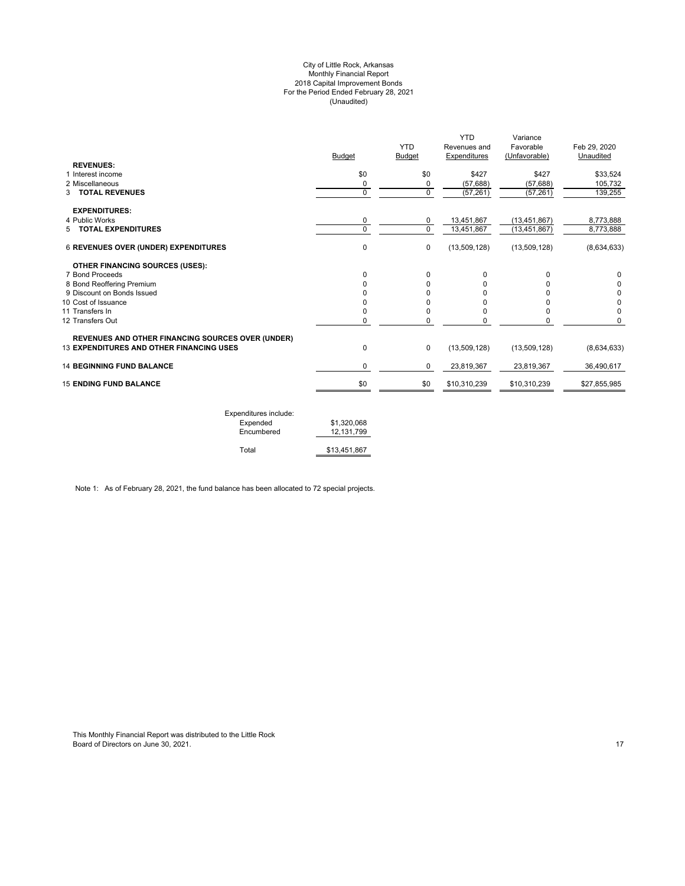#### City of Little Rock, Arkansas Monthly Financial Report 2018 Capital Improvement Bonds For the Period Ended February 28, 2021 (Unaudited)

| <b>REVENUES:</b>                                                                                     | <b>Budget</b> | <b>YTD</b><br>Budget | <b>YTD</b><br>Revenues and<br>Expenditures | Variance<br>Favorable<br>(Unfavorable) | Feb 29, 2020<br>Unaudited |
|------------------------------------------------------------------------------------------------------|---------------|----------------------|--------------------------------------------|----------------------------------------|---------------------------|
| 1 Interest income                                                                                    | \$0           | \$0                  | \$427                                      | \$427                                  | \$33,524                  |
| 2 Miscellaneous                                                                                      | 0             | 0                    | (57, 688)                                  | (57, 688)                              | 105,732                   |
| <b>3 TOTAL REVENUES</b>                                                                              | 0             | $\mathbf 0$          | (57, 261)                                  | (57, 261)                              | 139,255                   |
| <b>EXPENDITURES:</b>                                                                                 |               |                      |                                            |                                        |                           |
| 4 Public Works                                                                                       | 0             | 0                    | 13,451,867                                 | (13, 451, 867)                         | 8,773,888                 |
| 5 TOTAL EXPENDITURES                                                                                 | 0             | $\mathbf 0$          | 13,451,867                                 | (13, 451, 867)                         | 8,773,888                 |
| <b>6 REVENUES OVER (UNDER) EXPENDITURES</b>                                                          | 0             | $\mathbf 0$          | (13,509,128)                               | (13,509,128)                           | (8,634,633)               |
| <b>OTHER FINANCING SOURCES (USES):</b>                                                               |               |                      |                                            |                                        |                           |
| 7 Bond Proceeds                                                                                      | 0             | $\Omega$             | 0                                          | 0                                      | $\Omega$                  |
| 8 Bond Reoffering Premium                                                                            | 0             | 0                    | 0                                          | ŋ                                      | 0                         |
| 9 Discount on Bonds Issued                                                                           | ŋ             | 0                    | 0                                          | ŋ                                      | 0                         |
| 10 Cost of Issuance                                                                                  | 0             | 0                    | 0                                          | o                                      | 0                         |
| 11 Transfers In                                                                                      | 0             | 0                    | 0                                          | 0                                      | 0                         |
| 12 Transfers Out                                                                                     | 0             | 0                    | 0                                          | 0                                      | $\Omega$                  |
| REVENUES AND OTHER FINANCING SOURCES OVER (UNDER)<br><b>13 EXPENDITURES AND OTHER FINANCING USES</b> | 0             | $\mathbf 0$          | (13,509,128)                               | (13,509,128)                           | (8,634,633)               |
| <b>14 BEGINNING FUND BALANCE</b>                                                                     | 0             | 0                    | 23,819,367                                 | 23,819,367                             | 36.490.617                |
| <b>15 ENDING FUND BALANCE</b>                                                                        | \$0           | \$0                  | \$10,310,239                               | \$10,310,239                           | \$27,855,985              |

| Expenditures include: |              |
|-----------------------|--------------|
| Expended              | \$1,320,068  |
| Encumbered            | 12.131.799   |
| Total                 | \$13,451,867 |

Note 1: As of February 28, 2021, the fund balance has been allocated to 72 special projects.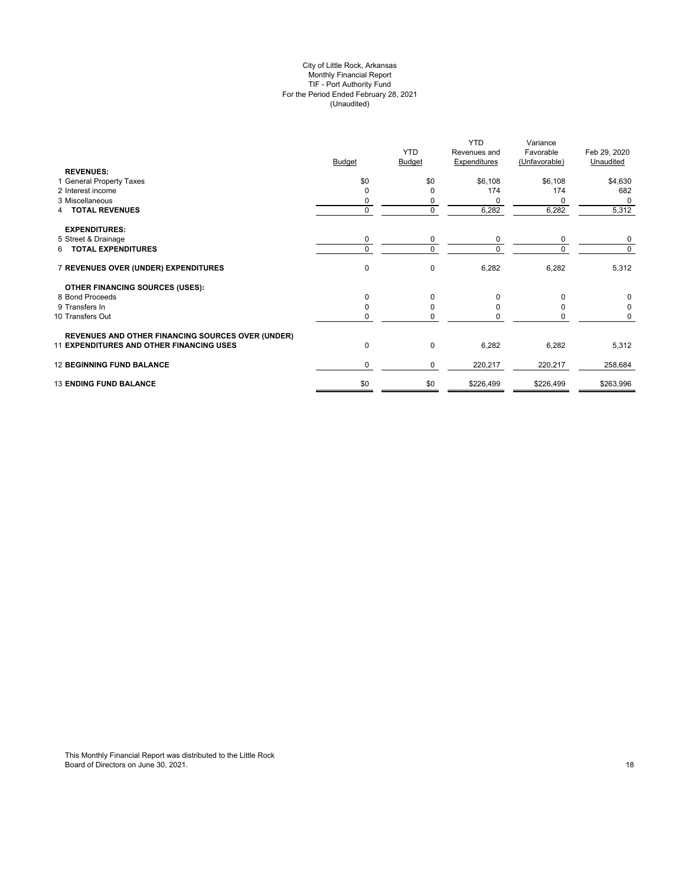#### City of Little Rock, Arkansas Monthly Financial Report TIF - Port Authority Fund For the Period Ended February 28, 2021 (Unaudited)

| \$0<br>\$0<br>\$6,108<br>\$6,108<br>1 General Property Taxes<br>\$4,630<br>174<br>2 Interest income<br>174<br>$\Omega$<br>O<br>3 Miscellaneous<br>0<br>0<br>0<br>$\mathbf 0$<br>$\mathbf 0$<br>6,282<br>6,282<br>4 TOTAL REVENUES<br><b>EXPENDITURES:</b><br>5 Street & Drainage<br>0<br>0<br>0<br>0<br>6 TOTAL EXPENDITURES<br>$\Omega$<br>$\Omega$<br>$\Omega$<br>$\Omega$<br>$\pmb{0}$<br>$\mathbf 0$<br>6,282<br>7 REVENUES OVER (UNDER) EXPENDITURES<br>6,282<br><b>OTHER FINANCING SOURCES (USES):</b><br>8 Bond Proceeds<br>0<br>$\mathbf 0$<br>0<br>O<br>9 Transfers In<br>$\mathbf 0$<br>n<br>10 Transfers Out<br>$\mathbf 0$<br>O<br>0<br><b>REVENUES AND OTHER FINANCING SOURCES OVER (UNDER)</b><br><b>11 EXPENDITURES AND OTHER FINANCING USES</b><br>0<br>$\Omega$<br>6,282<br>6,282<br><b>12 BEGINNING FUND BALANCE</b><br>0<br>0<br>220,217<br>220,217<br><b>13 ENDING FUND BALANCE</b> |                  | <b>Budget</b> | <b>YTD</b><br>Budget | <b>YTD</b><br>Revenues and<br><b>Expenditures</b> | Variance<br>Favorable<br>(Unfavorable) | Feb 29, 2020<br>Unaudited |
|---------------------------------------------------------------------------------------------------------------------------------------------------------------------------------------------------------------------------------------------------------------------------------------------------------------------------------------------------------------------------------------------------------------------------------------------------------------------------------------------------------------------------------------------------------------------------------------------------------------------------------------------------------------------------------------------------------------------------------------------------------------------------------------------------------------------------------------------------------------------------------------------------------|------------------|---------------|----------------------|---------------------------------------------------|----------------------------------------|---------------------------|
|                                                                                                                                                                                                                                                                                                                                                                                                                                                                                                                                                                                                                                                                                                                                                                                                                                                                                                         | <b>REVENUES:</b> |               |                      |                                                   |                                        |                           |
|                                                                                                                                                                                                                                                                                                                                                                                                                                                                                                                                                                                                                                                                                                                                                                                                                                                                                                         |                  |               |                      |                                                   |                                        | 682                       |
|                                                                                                                                                                                                                                                                                                                                                                                                                                                                                                                                                                                                                                                                                                                                                                                                                                                                                                         |                  |               |                      |                                                   |                                        | 0                         |
|                                                                                                                                                                                                                                                                                                                                                                                                                                                                                                                                                                                                                                                                                                                                                                                                                                                                                                         |                  |               |                      |                                                   |                                        | 5,312                     |
|                                                                                                                                                                                                                                                                                                                                                                                                                                                                                                                                                                                                                                                                                                                                                                                                                                                                                                         |                  |               |                      |                                                   |                                        |                           |
|                                                                                                                                                                                                                                                                                                                                                                                                                                                                                                                                                                                                                                                                                                                                                                                                                                                                                                         |                  |               |                      |                                                   |                                        | 0                         |
|                                                                                                                                                                                                                                                                                                                                                                                                                                                                                                                                                                                                                                                                                                                                                                                                                                                                                                         |                  |               |                      |                                                   |                                        | $\Omega$                  |
|                                                                                                                                                                                                                                                                                                                                                                                                                                                                                                                                                                                                                                                                                                                                                                                                                                                                                                         |                  |               |                      |                                                   |                                        | 5,312                     |
|                                                                                                                                                                                                                                                                                                                                                                                                                                                                                                                                                                                                                                                                                                                                                                                                                                                                                                         |                  |               |                      |                                                   |                                        |                           |
|                                                                                                                                                                                                                                                                                                                                                                                                                                                                                                                                                                                                                                                                                                                                                                                                                                                                                                         |                  |               |                      |                                                   |                                        | 0                         |
|                                                                                                                                                                                                                                                                                                                                                                                                                                                                                                                                                                                                                                                                                                                                                                                                                                                                                                         |                  |               |                      |                                                   |                                        | 0                         |
|                                                                                                                                                                                                                                                                                                                                                                                                                                                                                                                                                                                                                                                                                                                                                                                                                                                                                                         |                  |               |                      |                                                   |                                        | 0                         |
|                                                                                                                                                                                                                                                                                                                                                                                                                                                                                                                                                                                                                                                                                                                                                                                                                                                                                                         |                  |               |                      |                                                   |                                        |                           |
|                                                                                                                                                                                                                                                                                                                                                                                                                                                                                                                                                                                                                                                                                                                                                                                                                                                                                                         |                  |               |                      |                                                   |                                        | 5,312                     |
|                                                                                                                                                                                                                                                                                                                                                                                                                                                                                                                                                                                                                                                                                                                                                                                                                                                                                                         |                  |               |                      |                                                   |                                        | 258,684                   |
|                                                                                                                                                                                                                                                                                                                                                                                                                                                                                                                                                                                                                                                                                                                                                                                                                                                                                                         |                  | \$0           | \$0                  | \$226,499                                         | \$226,499                              | \$263,996                 |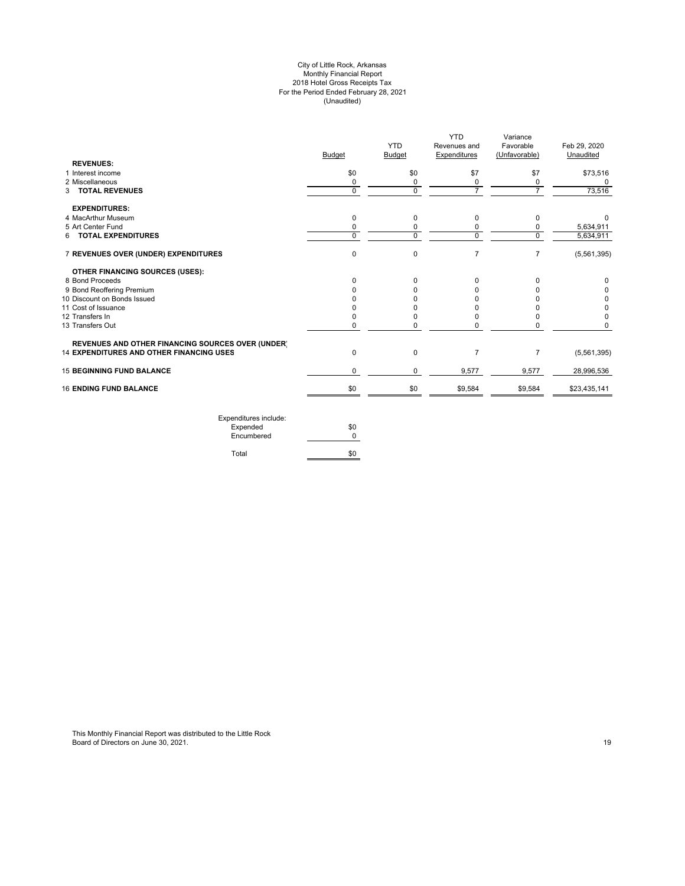#### City of Little Rock, Arkansas Monthly Financial Report 2018 Hotel Gross Receipts Tax For the Period Ended February 28, 2021 (Unaudited)

| <b>Budget</b> | <b>YTD</b><br><b>Budget</b> | YTD<br>Revenues and<br>Expenditures | Variance<br>Favorable<br>(Unfavorable) | Feb 29, 2020<br>Unaudited |
|---------------|-----------------------------|-------------------------------------|----------------------------------------|---------------------------|
|               |                             |                                     |                                        |                           |
| \$0           | \$0                         | \$7                                 | \$7                                    | \$73,516                  |
| 0             | 0                           | 0                                   | 0                                      | 0                         |
| $\Omega$      | $\Omega$                    |                                     |                                        | 73,516                    |
|               |                             |                                     |                                        |                           |
| 0             | 0                           | 0                                   | 0                                      |                           |
| $\Omega$      | 0                           | 0                                   | 0                                      | 5,634,911                 |
| $\Omega$      |                             |                                     |                                        | 5,634,911                 |
| $\mathbf 0$   | 0                           | 7                                   | $\overline{7}$                         | (5,561,395)               |
|               |                             |                                     |                                        |                           |
| <sup>0</sup>  | 0                           | 0                                   | 0                                      | 0                         |
|               | 0                           |                                     |                                        | 0                         |
|               | <sup>0</sup>                |                                     |                                        | 0                         |
|               | O                           |                                     |                                        | 0                         |
|               | 0                           |                                     |                                        | 0                         |
| 0             | 0                           | 0                                   |                                        | 0                         |
|               |                             |                                     |                                        |                           |
| $\Omega$      | 0                           | 7                                   | $\overline{7}$                         | (5,561,395)               |
| 0             | 0                           | 9,577                               | 9,577                                  | 28,996,536                |
| \$0           | \$0                         | \$9,584                             | \$9,584                                | \$23,435,141              |
|               |                             | $\Omega$                            | $\mathbf 0$                            | $\Omega$                  |

| Expenditures include:<br>Expended | \$0 |
|-----------------------------------|-----|
| Encumbered                        |     |
| Total                             |     |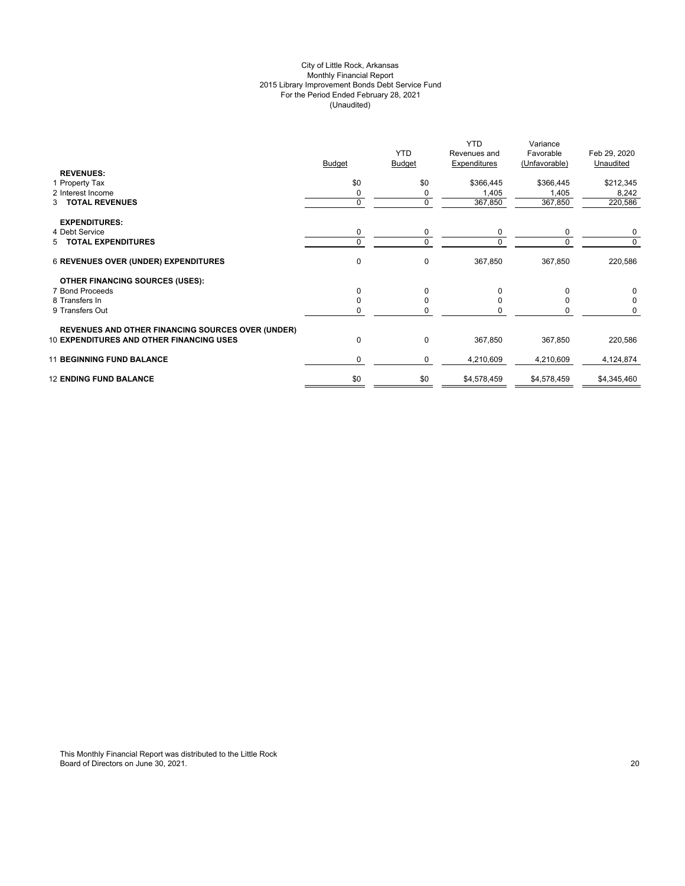# City of Little Rock, Arkansas Monthly Financial Report 2015 Library Improvement Bonds Debt Service Fund For the Period Ended February 28, 2021 (Unaudited)

|                                                                                                             | <b>Budget</b> | <b>YTD</b><br><b>Budget</b> | <b>YTD</b><br>Revenues and<br>Expenditures | Variance<br>Favorable<br>(Unfavorable) | Feb 29, 2020<br>Unaudited |
|-------------------------------------------------------------------------------------------------------------|---------------|-----------------------------|--------------------------------------------|----------------------------------------|---------------------------|
| <b>REVENUES:</b><br>1 Property Tax                                                                          | \$0           | \$0                         | \$366,445                                  | \$366,445                              | \$212,345                 |
| 2 Interest Income                                                                                           |               | 0                           | 1,405                                      | 1,405                                  | 8,242                     |
| 3 TOTAL REVENUES                                                                                            | $\Omega$      | $\mathbf 0$                 | 367,850                                    | 367,850                                | 220,586                   |
| <b>EXPENDITURES:</b>                                                                                        |               |                             |                                            |                                        |                           |
| 4 Debt Service                                                                                              | 0             | 0                           | 0                                          | $\Omega$                               | 0                         |
| 5 TOTAL EXPENDITURES                                                                                        |               | 0                           |                                            |                                        | $\Omega$                  |
| <b>6 REVENUES OVER (UNDER) EXPENDITURES</b>                                                                 | 0             | 0                           | 367,850                                    | 367,850                                | 220,586                   |
| <b>OTHER FINANCING SOURCES (USES):</b>                                                                      |               |                             |                                            |                                        |                           |
| 7 Bond Proceeds                                                                                             | $\Omega$      | $\Omega$                    | 0                                          | $\Omega$                               | $\Omega$                  |
| 8 Transfers In                                                                                              |               |                             | 0                                          |                                        | $\Omega$                  |
| 9 Transfers Out                                                                                             |               | n                           |                                            |                                        | 0                         |
| <b>REVENUES AND OTHER FINANCING SOURCES OVER (UNDER)</b><br><b>10 EXPENDITURES AND OTHER FINANCING USES</b> | $\Omega$      | $\mathbf{0}$                | 367,850                                    | 367,850                                | 220,586                   |
| <b>11 BEGINNING FUND BALANCE</b>                                                                            | $\Omega$      | 0                           | 4,210,609                                  | 4,210,609                              | 4,124,874                 |
| <b>12 ENDING FUND BALANCE</b>                                                                               | \$0           | \$0                         | \$4,578,459                                | \$4,578,459                            | \$4,345,460               |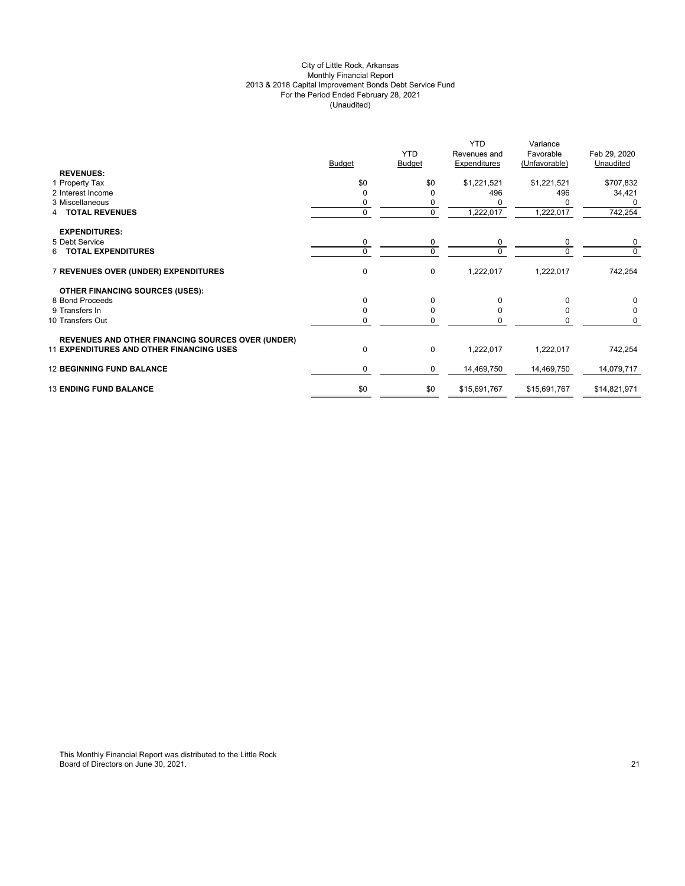# City of Little Rock, Arkansas Monthly Financial Report 2013 & 2018 Capital Improvement Bonds Debt Service Fund For the Period Ended February 28, 2021 (Unaudited)

|                                                          | <b>Budget</b> | <b>YTD</b><br><b>Budget</b> | <b>YTD</b><br>Revenues and<br><b>Expenditures</b> | Variance<br>Favorable<br>(Unfavorable) | Feb 29, 2020<br>Unaudited |
|----------------------------------------------------------|---------------|-----------------------------|---------------------------------------------------|----------------------------------------|---------------------------|
| <b>REVENUES:</b>                                         |               |                             |                                                   |                                        |                           |
| 1 Property Tax                                           | \$0           | \$0                         | \$1,221,521                                       | \$1,221,521                            | \$707,832                 |
| 2 Interest Income                                        |               | 0                           | 496                                               | 496                                    | 34,421                    |
| 3 Miscellaneous                                          |               |                             |                                                   |                                        | 0                         |
| 4 TOTAL REVENUES                                         | 0             | $\mathbf 0$                 | 1,222,017                                         | 1,222,017                              | 742,254                   |
| <b>EXPENDITURES:</b>                                     |               |                             |                                                   |                                        |                           |
| 5 Debt Service                                           | 0             | 0                           | 0                                                 | 0                                      | 0                         |
| <b>TOTAL EXPENDITURES</b><br>6.                          | $\Omega$      | $\Omega$                    | $\Omega$                                          | $\Omega$                               | $\Omega$                  |
| 7 REVENUES OVER (UNDER) EXPENDITURES                     | $\mathbf 0$   | 0                           | 1,222,017                                         | 1,222,017                              | 742,254                   |
| <b>OTHER FINANCING SOURCES (USES):</b>                   |               |                             |                                                   |                                        |                           |
| 8 Bond Proceeds                                          | O             | 0                           | O                                                 | 0                                      | $\Omega$                  |
| 9 Transfers In                                           |               | 0                           |                                                   | n                                      |                           |
| 10 Transfers Out                                         |               | $\Omega$                    |                                                   |                                        | 0                         |
| <b>REVENUES AND OTHER FINANCING SOURCES OVER (UNDER)</b> |               |                             |                                                   |                                        |                           |
| <b>11 EXPENDITURES AND OTHER FINANCING USES</b>          | $\Omega$      | 0                           | 1,222,017                                         | 1,222,017                              | 742,254                   |
| <b>12 BEGINNING FUND BALANCE</b>                         | 0             | 0                           | 14,469,750                                        | 14,469,750                             | 14,079,717                |
| <b>13 ENDING FUND BALANCE</b>                            | \$0           | \$0                         | \$15,691,767                                      | \$15,691,767                           | \$14,821,971              |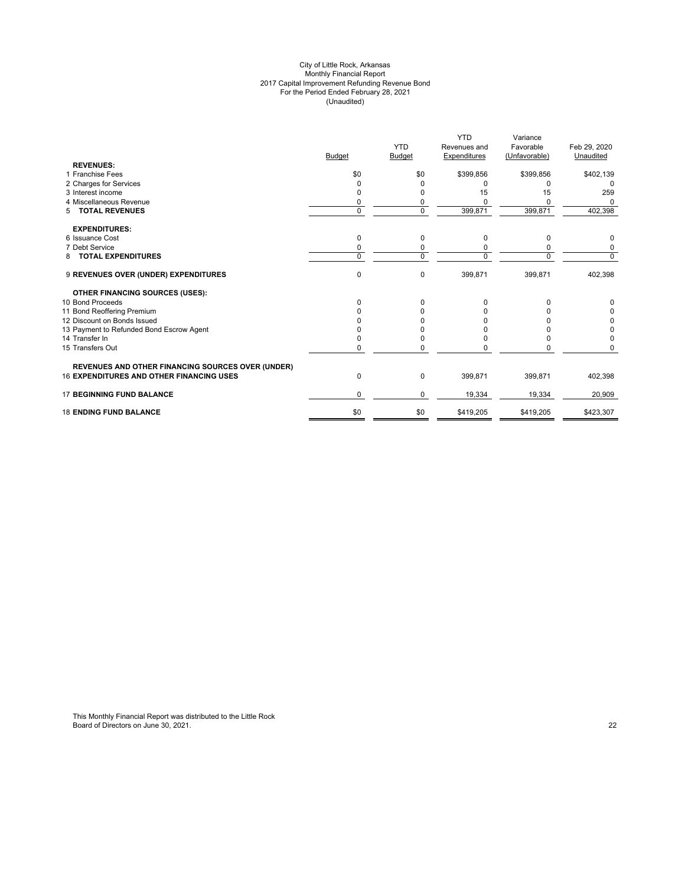#### City of Little Rock, Arkansas Monthly Financial Report 2017 Capital Improvement Refunding Revenue Bond For the Period Ended February 28, 2021 (Unaudited)

|                                                          |               |               | <b>YTD</b>   | Variance      |              |
|----------------------------------------------------------|---------------|---------------|--------------|---------------|--------------|
|                                                          |               | <b>YTD</b>    | Revenues and | Favorable     | Feb 29, 2020 |
|                                                          | <b>Budget</b> | <b>Budget</b> | Expenditures | (Unfavorable) | Unaudited    |
| <b>REVENUES:</b>                                         |               |               |              |               |              |
| 1 Franchise Fees                                         | \$0           | \$0           | \$399,856    | \$399,856     | \$402,139    |
| 2 Charges for Services                                   |               | 0             | 0            | 0             | $\Omega$     |
| 3 Interest income                                        |               | 0             | 15           | 15            | 259          |
| 4 Miscellaneous Revenue                                  | 0             | 0             |              |               | $\Omega$     |
| <b>TOTAL REVENUES</b><br>5                               | $\Omega$      | $\mathbf 0$   | 399,871      | 399,871       | 402,398      |
| <b>EXPENDITURES:</b>                                     |               |               |              |               |              |
| 6 Issuance Cost                                          | 0             | 0             | 0            | 0             | 0            |
| 7 Debt Service                                           | 0             | 0             |              | 0             | 0            |
| <b>TOTAL EXPENDITURES</b><br>8                           | $\Omega$      | $\mathbf 0$   | U            | $\Omega$      | 0            |
| 9 REVENUES OVER (UNDER) EXPENDITURES                     | 0             | $\mathbf 0$   | 399,871      | 399,871       | 402,398      |
| <b>OTHER FINANCING SOURCES (USES):</b>                   |               |               |              |               |              |
| 10 Bond Proceeds                                         | <sup>0</sup>  | 0             | 0            | 0             | 0            |
| 11 Bond Reoffering Premium                               |               |               |              |               | 0            |
| 12 Discount on Bonds Issued                              |               |               |              |               | 0            |
| 13 Payment to Refunded Bond Escrow Agent                 |               | n             | o            |               | 0            |
| 14 Transfer In                                           |               | 0             |              | 0             | 0            |
| 15 Transfers Out                                         |               | ŋ             |              | ŋ             | 0            |
| <b>REVENUES AND OTHER FINANCING SOURCES OVER (UNDER)</b> |               |               |              |               |              |
| <b>16 EXPENDITURES AND OTHER FINANCING USES</b>          | 0             | 0             | 399,871      | 399,871       | 402,398      |
| <b>17 BEGINNING FUND BALANCE</b>                         | $\Omega$      | 0             | 19,334       | 19,334        | 20,909       |
| <b>18 ENDING FUND BALANCE</b>                            | \$0           | \$0           | \$419,205    | \$419,205     | \$423,307    |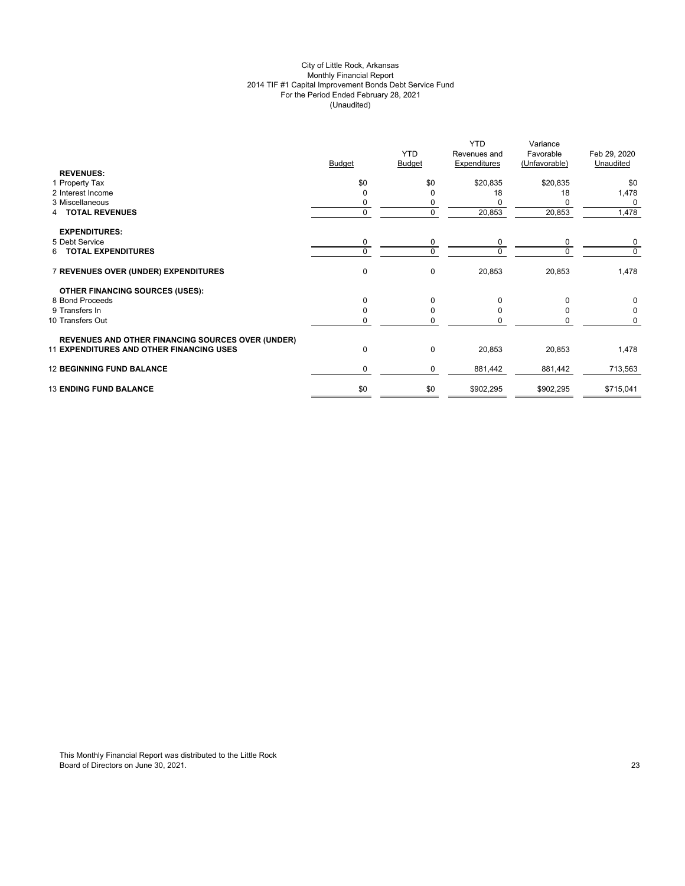# City of Little Rock, Arkansas Monthly Financial Report 2014 TIF #1 Capital Improvement Bonds Debt Service Fund For the Period Ended February 28, 2021 (Unaudited)

|                                                          | <b>Budget</b> | <b>YTD</b><br><b>Budget</b> | Revenues and<br>Expenditures | Favorable<br>(Unfavorable) | Feb 29, 2020<br>Unaudited |
|----------------------------------------------------------|---------------|-----------------------------|------------------------------|----------------------------|---------------------------|
| <b>REVENUES:</b>                                         |               |                             |                              |                            |                           |
| 1 Property Tax                                           | \$0           | \$0                         | \$20,835                     | \$20,835                   | \$0                       |
| 2 Interest Income                                        |               | 0                           | 18                           | 18                         | 1,478                     |
| 3 Miscellaneous                                          |               | 0                           |                              |                            | 0                         |
| <b>TOTAL REVENUES</b><br>4                               | 0             | $\pmb{0}$                   | 20,853                       | 20,853                     | 1,478                     |
| <b>EXPENDITURES:</b>                                     |               |                             |                              |                            |                           |
| 5 Debt Service                                           | 0             | 0                           | 0                            | 0                          | 0                         |
| 6 TOTAL EXPENDITURES                                     | $\Omega$      | $\Omega$                    | $\Omega$                     | $\Omega$                   | $\Omega$                  |
| 7 REVENUES OVER (UNDER) EXPENDITURES                     | $\mathbf 0$   | $\pmb{0}$                   | 20,853                       | 20,853                     | 1,478                     |
| <b>OTHER FINANCING SOURCES (USES):</b>                   |               |                             |                              |                            |                           |
| 8 Bond Proceeds                                          | U             | 0                           | O                            | 0                          | $\Omega$                  |
| 9 Transfers In                                           |               | $\Omega$                    |                              | ŋ                          |                           |
| 10 Transfers Out                                         |               | 0                           |                              |                            | 0                         |
| <b>REVENUES AND OTHER FINANCING SOURCES OVER (UNDER)</b> |               |                             |                              |                            |                           |
| <b>11 EXPENDITURES AND OTHER FINANCING USES</b>          | $\Omega$      | 0                           | 20,853                       | 20,853                     | 1,478                     |
| <b>12 BEGINNING FUND BALANCE</b>                         | 0             | 0                           | 881,442                      | 881,442                    | 713,563                   |
| <b>13 ENDING FUND BALANCE</b>                            | \$0           | \$0                         | \$902,295                    | \$902,295                  | \$715,041                 |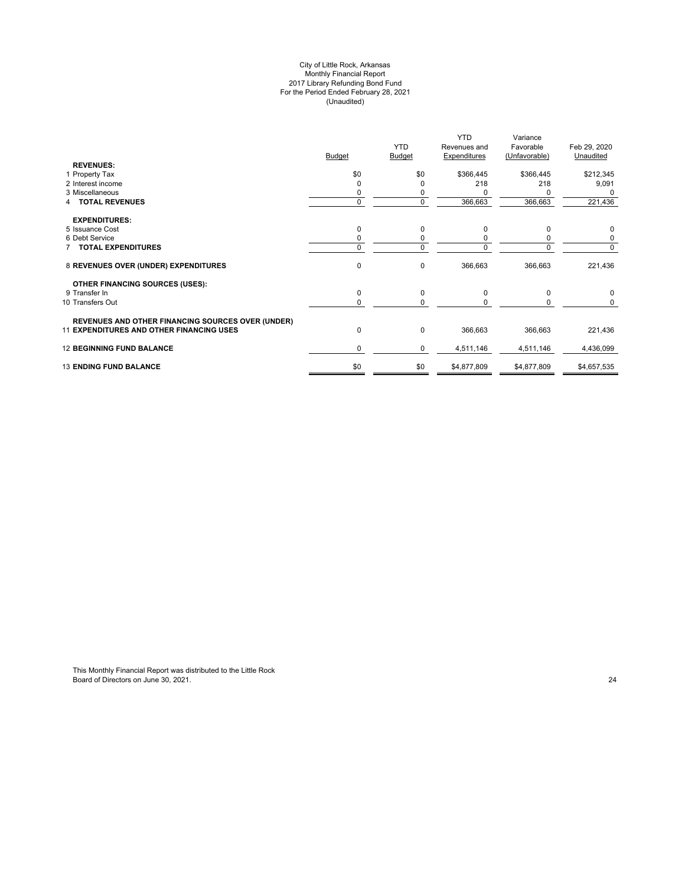#### City of Little Rock, Arkansas Monthly Financial Report 2017 Library Refunding Bond Fund For the Period Ended February 28, 2021 (Unaudited)

|                                                          |               |                | <b>YTD</b>          | Variance      |              |
|----------------------------------------------------------|---------------|----------------|---------------------|---------------|--------------|
|                                                          |               | <b>YTD</b>     | Revenues and        | Favorable     | Feb 29, 2020 |
|                                                          | <b>Budget</b> | Budget         | <b>Expenditures</b> | (Unfavorable) | Unaudited    |
| <b>REVENUES:</b>                                         |               |                |                     |               |              |
| 1 Property Tax                                           | \$0           | \$0            | \$366,445           | \$366,445     | \$212,345    |
| 2 Interest income                                        |               | 0              | 218                 | 218           | 9,091        |
| 3 Miscellaneous                                          |               |                |                     |               | <sup>0</sup> |
| <b>TOTAL REVENUES</b>                                    | $\Omega$      | $\overline{0}$ | 366,663             | 366,663       | 221,436      |
| <b>EXPENDITURES:</b>                                     |               |                |                     |               |              |
| 5 Issuance Cost                                          |               | 0              | 0                   | $\Omega$      | 0            |
| 6 Debt Service                                           |               | 0              |                     | 0             | 0            |
| 7 TOTAL EXPENDITURES                                     | $\Omega$      | $\mathbf 0$    |                     | $\Omega$      | 0            |
| 8 REVENUES OVER (UNDER) EXPENDITURES                     | 0             | $\pmb{0}$      | 366,663             | 366,663       | 221,436      |
| <b>OTHER FINANCING SOURCES (USES):</b>                   |               |                |                     |               |              |
| 9 Transfer In                                            | $\Omega$      | $\mathbf 0$    | 0                   | 0             | 0            |
| 10 Transfers Out                                         | 0             | 0              |                     | O             | 0            |
| <b>REVENUES AND OTHER FINANCING SOURCES OVER (UNDER)</b> |               |                |                     |               |              |
| <b>11 EXPENDITURES AND OTHER FINANCING USES</b>          | 0             | $\mathbf 0$    | 366,663             | 366,663       | 221,436      |
| <b>12 BEGINNING FUND BALANCE</b>                         | 0             | 0              | 4,511,146           | 4,511,146     | 4,436,099    |
| <b>13 ENDING FUND BALANCE</b>                            | \$0           | \$0            | \$4,877,809         | \$4,877,809   | \$4,657,535  |
|                                                          |               |                |                     |               |              |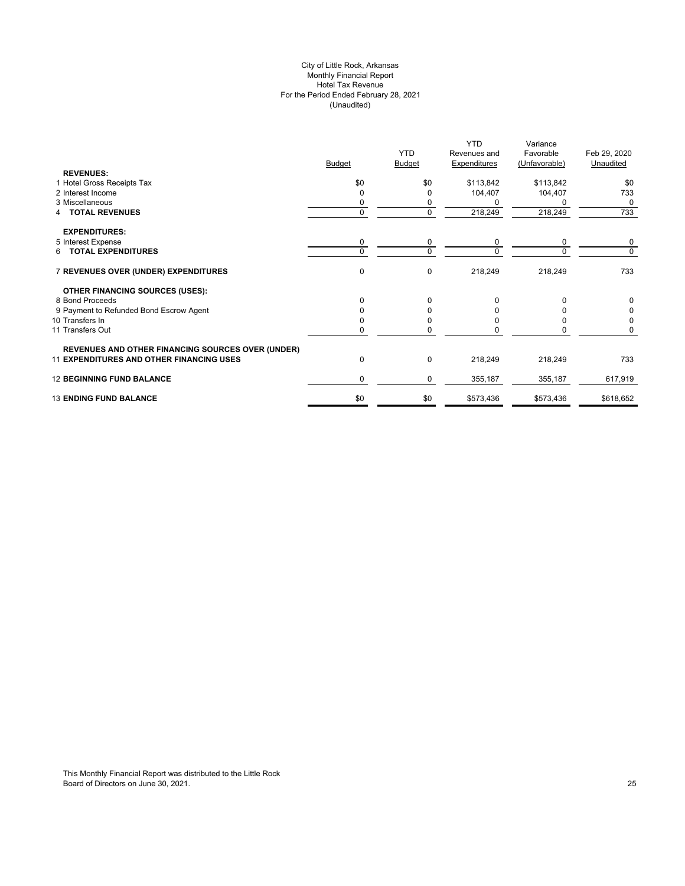# City of Little Rock, Arkansas Monthly Financial Report Hotel Tax Revenue For the Period Ended February 28, 2021 (Unaudited)

|                                                          |               |               | <b>YTD</b>   | Variance      |              |
|----------------------------------------------------------|---------------|---------------|--------------|---------------|--------------|
|                                                          |               | <b>YTD</b>    | Revenues and | Favorable     | Feb 29, 2020 |
|                                                          | <b>Budget</b> | <b>Budget</b> | Expenditures | (Unfavorable) | Unaudited    |
| <b>REVENUES:</b>                                         |               |               |              |               |              |
| 1 Hotel Gross Receipts Tax                               | \$0           | \$0           | \$113,842    | \$113,842     | \$0          |
| 2 Interest Income                                        | 0             |               | 104,407      | 104,407       | 733          |
| 3 Miscellaneous                                          | 0             |               | n            |               | $\Omega$     |
| <b>TOTAL REVENUES</b><br>4                               | 0             | 0             | 218,249      | 218,249       | 733          |
| <b>EXPENDITURES:</b>                                     |               |               |              |               |              |
| 5 Interest Expense                                       | 0             | 0             | 0            | 0             | 0            |
| 6 TOTAL EXPENDITURES                                     | $\Omega$      | $\Omega$      | $\Omega$     |               | $\Omega$     |
| 7 REVENUES OVER (UNDER) EXPENDITURES                     | 0             | 0             | 218,249      | 218,249       | 733          |
| <b>OTHER FINANCING SOURCES (USES):</b>                   |               |               |              |               |              |
| 8 Bond Proceeds                                          | $\Omega$      | 0             | O            |               | 0            |
| 9 Payment to Refunded Bond Escrow Agent                  |               |               |              |               |              |
| 10 Transfers In                                          |               |               |              |               |              |
| 11 Transfers Out                                         |               |               |              |               | 0            |
| <b>REVENUES AND OTHER FINANCING SOURCES OVER (UNDER)</b> |               |               |              |               |              |
| 11 EXPENDITURES AND OTHER FINANCING USES                 | 0             | $\Omega$      | 218,249      | 218,249       | 733          |
| <b>12 BEGINNING FUND BALANCE</b>                         | 0             | 0             | 355,187      | 355,187       | 617,919      |
| <b>13 ENDING FUND BALANCE</b>                            | \$0           | \$0           | \$573,436    | \$573,436     | \$618,652    |
|                                                          |               |               |              |               |              |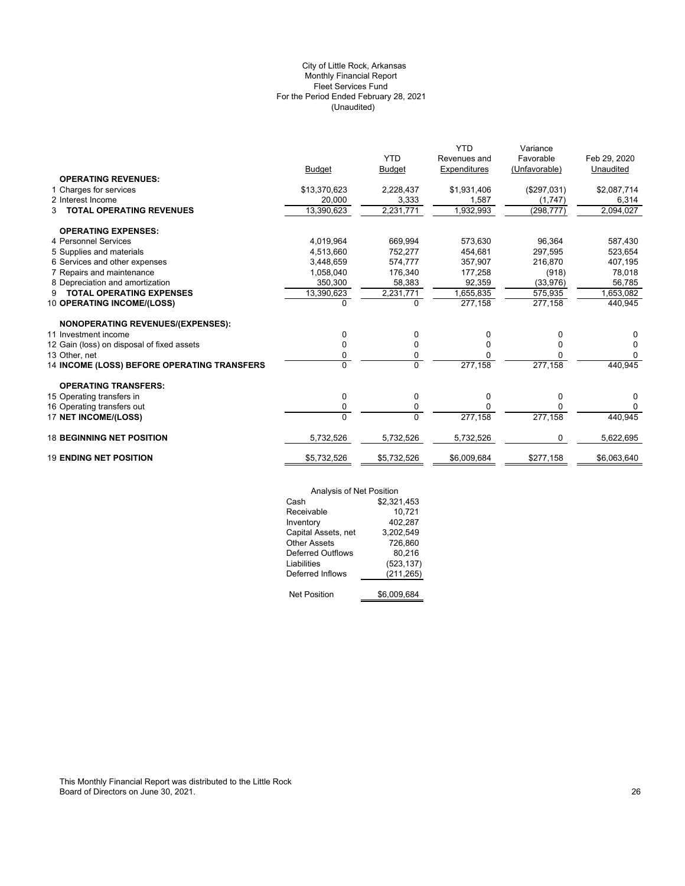# (Unaudited) City of Little Rock, Arkansas Monthly Financial Report Fleet Services Fund For the Period Ended February 28, 2021

|                                             |               | <b>YTD</b>     | <b>YTD</b><br>Revenues and | Variance<br>Favorable | Feb 29, 2020 |
|---------------------------------------------|---------------|----------------|----------------------------|-----------------------|--------------|
|                                             | <b>Budget</b> | <b>Budget</b>  | Expenditures               | (Unfavorable)         | Unaudited    |
| <b>OPERATING REVENUES:</b>                  |               |                |                            |                       |              |
| 1 Charges for services                      | \$13,370,623  | 2,228,437      | \$1,931,406                | (\$297,031)           | \$2,087,714  |
| 2 Interest Income                           | 20,000        | 3,333          | 1,587                      | (1,747)               | 6,314        |
| <b>TOTAL OPERATING REVENUES</b><br>3        | 13,390,623    | 2,231,771      | 1,932,993                  | (298, 777)            | 2,094,027    |
| <b>OPERATING EXPENSES:</b>                  |               |                |                            |                       |              |
| 4 Personnel Services                        | 4,019,964     | 669.994        | 573.630                    | 96.364                | 587,430      |
| 5 Supplies and materials                    | 4,513,660     | 752,277        | 454.681                    | 297.595               | 523,654      |
| 6 Services and other expenses               | 3,448,659     | 574,777        | 357,907                    | 216,870               | 407,195      |
| 7 Repairs and maintenance                   | 1,058,040     | 176.340        | 177,258                    | (918)                 | 78,018       |
| 8 Depreciation and amortization             | 350,300       | 58,383         | 92,359                     | (33,976)              | 56,785       |
| <b>TOTAL OPERATING EXPENSES</b><br>9        | 13,390,623    | 2,231,771      | 1,655,835                  | 575,935               | 1,653,082    |
| 10 OPERATING INCOME/(LOSS)                  | 0             | $\Omega$       | 277,158                    | 277,158               | 440,945      |
|                                             |               |                |                            |                       |              |
| <b>NONOPERATING REVENUES/(EXPENSES):</b>    |               |                |                            |                       |              |
| 11 Investment income                        | 0             | 0              | 0                          | 0                     | 0            |
| 12 Gain (loss) on disposal of fixed assets  | 0             | 0              | O                          | 0                     | 0            |
| 13 Other, net                               | 0             | 0              | O                          | 0                     | $\Omega$     |
| 14 INCOME (LOSS) BEFORE OPERATING TRANSFERS | $\Omega$      | $\overline{0}$ | 277,158                    | 277,158               | 440,945      |
| <b>OPERATING TRANSFERS:</b>                 |               |                |                            |                       |              |
| 15 Operating transfers in                   | 0             | 0              | 0                          | 0                     | 0            |
| 16 Operating transfers out                  | 0             | 0              | O                          | 0                     | $\Omega$     |
| 17 NET INCOME/(LOSS)                        | $\Omega$      | $\Omega$       | 277,158                    | 277,158               | 440,945      |
|                                             |               |                |                            |                       |              |
| <b>18 BEGINNING NET POSITION</b>            | 5,732,526     | 5,732,526      | 5,732,526                  | 0                     | 5,622,695    |
| <b>19 ENDING NET POSITION</b>               | \$5,732,526   | \$5,732,526    | \$6,009,684                | \$277,158             | \$6,063,640  |

| Analysis of Net Position |             |
|--------------------------|-------------|
| Cash                     | \$2,321,453 |
| Receivable               | 10,721      |
| Inventory                | 402,287     |
| Capital Assets, net      | 3,202,549   |
| <b>Other Assets</b>      | 726,860     |
| <b>Deferred Outflows</b> | 80.216      |
| Liabilities              | (523, 137)  |
| Deferred Inflows         | (211, 265)  |
|                          |             |
| <b>Net Position</b>      | \$6.009.684 |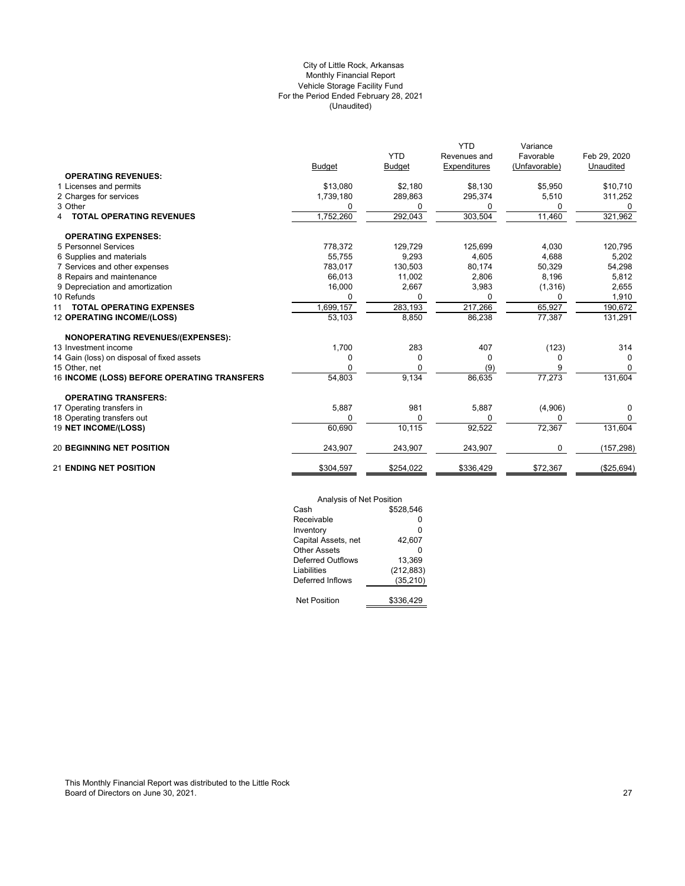# (Unaudited) City of Little Rock, Arkansas Monthly Financial Report Vehicle Storage Facility Fund For the Period Ended February 28, 2021

|                                             |               |               | <b>YTD</b>   | Variance      |              |
|---------------------------------------------|---------------|---------------|--------------|---------------|--------------|
|                                             |               | <b>YTD</b>    | Revenues and | Favorable     | Feb 29, 2020 |
|                                             | <b>Budget</b> | <b>Budget</b> | Expenditures | (Unfavorable) | Unaudited    |
| <b>OPERATING REVENUES:</b>                  |               |               |              |               |              |
| 1 Licenses and permits                      | \$13,080      | \$2,180       | \$8,130      | \$5,950       | \$10,710     |
| 2 Charges for services                      | 1,739,180     | 289,863       | 295,374      | 5,510         | 311,252      |
| 3 Other                                     | 0             | 0             | 0            | 0             | 0            |
| <b>TOTAL OPERATING REVENUES</b>             | 1,752,260     | 292,043       | 303,504      | 11,460        | 321,962      |
| <b>OPERATING EXPENSES:</b>                  |               |               |              |               |              |
| 5 Personnel Services                        | 778,372       | 129,729       | 125,699      | 4,030         | 120,795      |
| 6 Supplies and materials                    | 55.755        | 9,293         | 4,605        | 4.688         | 5,202        |
| 7 Services and other expenses               | 783.017       | 130,503       | 80,174       | 50,329        | 54,298       |
| 8 Repairs and maintenance                   | 66,013        | 11,002        | 2,806        | 8,196         | 5,812        |
| 9 Depreciation and amortization             | 16,000        | 2,667         | 3,983        | (1, 316)      | 2,655        |
| 10 Refunds                                  |               | 0             | ŋ            |               | 1,910        |
| <b>TOTAL OPERATING EXPENSES</b><br>11       | 1,699,157     | 283,193       | 217,266      | 65,927        | 190,672      |
| <b>12 OPERATING INCOME/(LOSS)</b>           | 53,103        | 8,850         | 86,238       | 77,387        | 131,291      |
| <b>NONOPERATING REVENUES/(EXPENSES):</b>    |               |               |              |               |              |
| 13 Investment income                        | 1,700         | 283           | 407          | (123)         | 314          |
| 14 Gain (loss) on disposal of fixed assets  | 0             | 0             | $\Omega$     | 0             | 0            |
| 15 Other, net                               | O             | 0             | (9)          | 9             | $\Omega$     |
| 16 INCOME (LOSS) BEFORE OPERATING TRANSFERS | 54,803        | 9,134         | 86,635       | 77,273        | 131,604      |
| <b>OPERATING TRANSFERS:</b>                 |               |               |              |               |              |
| 17 Operating transfers in                   | 5,887         | 981           | 5,887        | (4,906)       | 0            |
| 18 Operating transfers out                  | $\Omega$      | 0             | $\Omega$     | U             | 0            |
| 19 NET INCOME/(LOSS)                        | 60,690        | 10,115        | 92,522       | 72,367        | 131,604      |
| <b>20 BEGINNING NET POSITION</b>            | 243,907       | 243,907       | 243,907      | 0             | (157, 298)   |
| <b>21 ENDING NET POSITION</b>               | \$304,597     | \$254,022     | \$336,429    | \$72,367      | (\$25,694)   |

| Analysis of Net Position |            |  |  |  |
|--------------------------|------------|--|--|--|
| Cash                     | \$528.546  |  |  |  |
| Receivable               | ŋ          |  |  |  |
| Inventory                | 0          |  |  |  |
| Capital Assets, net      | 42.607     |  |  |  |
| Other Assets             | ŋ          |  |  |  |
| Deferred Outflows        | 13.369     |  |  |  |
| Liabilities              | (212, 883) |  |  |  |
| Deferred Inflows         | (35, 210)  |  |  |  |
|                          |            |  |  |  |
| <b>Net Position</b>      | \$336,429  |  |  |  |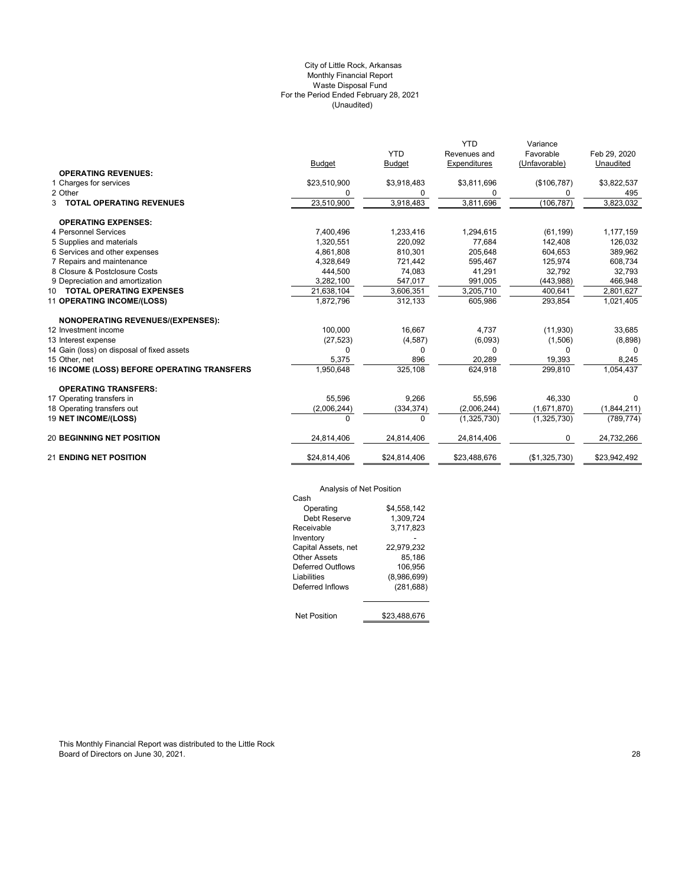#### (Unaudited) City of Little Rock, Arkansas Monthly Financial Report Waste Disposal Fund For the Period Ended February 28, 2021

|                                             | <b>Budget</b> | <b>YTD</b><br><b>Budget</b> | <b>YTD</b><br>Revenues and<br>Expenditures | Variance<br>Favorable<br>(Unfavorable) | Feb 29, 2020<br>Unaudited |
|---------------------------------------------|---------------|-----------------------------|--------------------------------------------|----------------------------------------|---------------------------|
| <b>OPERATING REVENUES:</b>                  |               |                             |                                            |                                        |                           |
| 1 Charges for services                      | \$23,510,900  | \$3,918,483                 | \$3,811,696                                | (\$106,787)                            | \$3,822,537               |
| 2 Other                                     | 0             | 0                           | 0                                          | 0                                      | 495                       |
| <b>3 TOTAL OPERATING REVENUES</b>           | 23,510,900    | 3,918,483                   | 3,811,696                                  | (106, 787)                             | 3,823,032                 |
| <b>OPERATING EXPENSES:</b>                  |               |                             |                                            |                                        |                           |
| 4 Personnel Services                        | 7,400,496     | 1,233,416                   | 1,294,615                                  | (61, 199)                              | 1,177,159                 |
| 5 Supplies and materials                    | 1,320,551     | 220,092                     | 77,684                                     | 142,408                                | 126,032                   |
| 6 Services and other expenses               | 4,861,808     | 810,301                     | 205,648                                    | 604,653                                | 389,962                   |
| 7 Repairs and maintenance                   | 4,328,649     | 721,442                     | 595,467                                    | 125,974                                | 608,734                   |
| 8 Closure & Postclosure Costs               | 444,500       | 74,083                      | 41,291                                     | 32,792                                 | 32,793                    |
| 9 Depreciation and amortization             | 3,282,100     | 547,017                     | 991,005                                    | (443,988)                              | 466,948                   |
| 10 TOTAL OPERATING EXPENSES                 | 21,638,104    | 3,606,351                   | 3,205,710                                  | 400,641                                | 2,801,627                 |
| 11 OPERATING INCOME/(LOSS)                  | 1,872,796     | 312,133                     | 605,986                                    | 293,854                                | 1,021,405                 |
| <b>NONOPERATING REVENUES/(EXPENSES):</b>    |               |                             |                                            |                                        |                           |
| 12 Investment income                        | 100.000       | 16,667                      | 4.737                                      | (11,930)                               | 33,685                    |
| 13 Interest expense                         | (27, 523)     | (4, 587)                    | (6,093)                                    | (1,506)                                | (8,898)                   |
| 14 Gain (loss) on disposal of fixed assets  | 0             | 0                           | 0                                          | $\Omega$                               | 0                         |
| 15 Other, net                               | 5,375         | 896                         | 20,289                                     | 19,393                                 | 8,245                     |
| 16 INCOME (LOSS) BEFORE OPERATING TRANSFERS | 1,950,648     | 325,108                     | 624,918                                    | 299,810                                | 1,054,437                 |
| <b>OPERATING TRANSFERS:</b>                 |               |                             |                                            |                                        |                           |
| 17 Operating transfers in                   | 55,596        | 9,266                       | 55,596                                     | 46,330                                 | $\Omega$                  |
| 18 Operating transfers out                  | (2,006,244)   | (334, 374)                  | (2,006,244)                                | (1,671,870)                            | (1,844,211)               |
| <b>19 NET INCOME/(LOSS)</b>                 | $\Omega$      | 0                           | (1,325,730)                                | (1,325,730)                            | (789, 774)                |
| <b>20 BEGINNING NET POSITION</b>            | 24,814,406    | 24,814,406                  | 24,814,406                                 | $\mathbf 0$                            | 24,732,266                |
| <b>21 ENDING NET POSITION</b>               | \$24,814,406  | \$24,814,406                | \$23,488,676                               | (\$1,325,730)                          | \$23,942,492              |

# Analysis of Net Position

| Cash                |              |
|---------------------|--------------|
| Operating           | \$4,558,142  |
| Debt Reserve        | 1.309.724    |
| Receivable          | 3.717.823    |
| Inventory           |              |
| Capital Assets, net | 22,979,232   |
| Other Assets        | 85,186       |
| Deferred Outflows   | 106,956      |
| Liabilities         | (8,986,699)  |
| Deferred Inflows    | (281, 688)   |
|                     |              |
| <b>Net Position</b> | \$23.488.676 |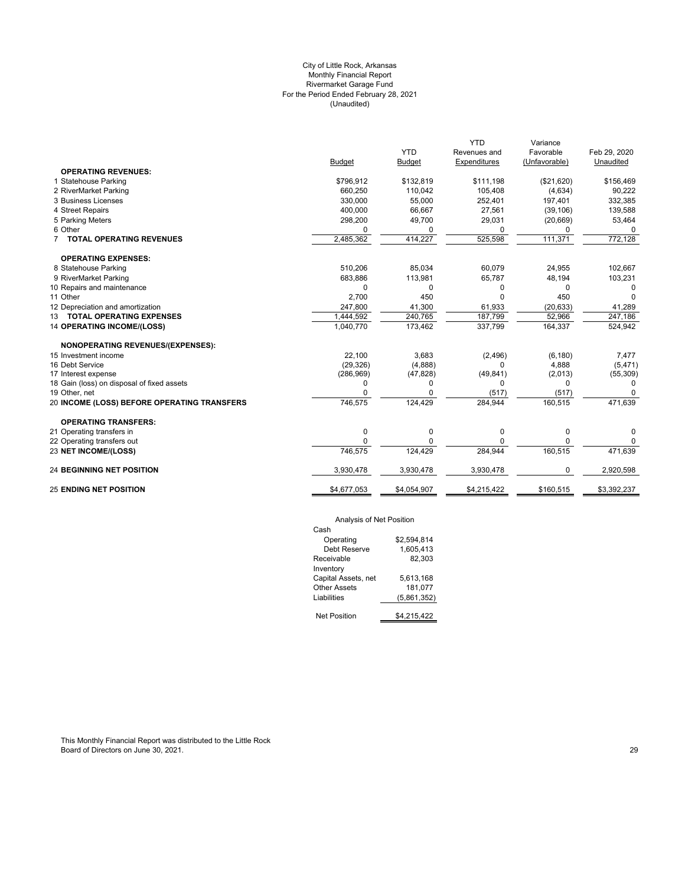# (Unaudited) City of Little Rock, Arkansas Monthly Financial Report Rivermarket Garage Fund For the Period Ended February 28, 2021

|                                             |               |               | <b>YTD</b>   | Variance      |              |
|---------------------------------------------|---------------|---------------|--------------|---------------|--------------|
|                                             |               | <b>YTD</b>    | Revenues and | Favorable     | Feb 29, 2020 |
|                                             | <b>Budget</b> | <b>Budget</b> | Expenditures | (Unfavorable) | Unaudited    |
| <b>OPERATING REVENUES:</b>                  |               |               |              |               |              |
| 1 Statehouse Parking                        | \$796,912     | \$132,819     | \$111,198    | (\$21,620)    | \$156,469    |
| 2 RiverMarket Parking                       | 660,250       | 110,042       | 105,408      | (4,634)       | 90,222       |
| 3 Business Licenses                         | 330.000       | 55,000        | 252,401      | 197.401       | 332,385      |
| 4 Street Repairs                            | 400,000       | 66,667        | 27,561       | (39, 106)     | 139,588      |
| 5 Parking Meters                            | 298,200       | 49,700        | 29,031       | (20, 669)     | 53,464       |
| 6 Other                                     | $\Omega$      | 0             | 0            | 0             | 0            |
| 7 TOTAL OPERATING REVENUES                  | 2,485,362     | 414,227       | 525,598      | 111,371       | 772,128      |
| <b>OPERATING EXPENSES:</b>                  |               |               |              |               |              |
| 8 Statehouse Parking                        | 510,206       | 85,034        | 60,079       | 24,955        | 102,667      |
| 9 RiverMarket Parking                       | 683,886       | 113,981       | 65,787       | 48,194        | 103,231      |
| 10 Repairs and maintenance                  | $\mathbf 0$   | 0             | 0            | 0             | 0            |
| 11 Other                                    | 2,700         | 450           | 0            | 450           | $\Omega$     |
| 12 Depreciation and amortization            | 247,800       | 41,300        | 61,933       | (20, 633)     | 41,289       |
| 13 TOTAL OPERATING EXPENSES                 | 1,444,592     | 240,765       | 187,799      | 52,966        | 247,186      |
| <b>14 OPERATING INCOME/(LOSS)</b>           | 1,040,770     | 173,462       | 337,799      | 164,337       | 524,942      |
| NONOPERATING REVENUES/(EXPENSES):           |               |               |              |               |              |
| 15 Investment income                        | 22,100        | 3,683         | (2, 496)     | (6, 180)      | 7,477        |
| 16 Debt Service                             | (29, 326)     | (4,888)       | 0            | 4,888         | (5, 471)     |
| 17 Interest expense                         | (286,969)     | (47, 828)     | (49, 841)    | (2,013)       | (55, 309)    |
| 18 Gain (loss) on disposal of fixed assets  | 0             | 0             | 0            | 0             | 0            |
| 19 Other, net                               | O             | $\Omega$      | (517)        | (517)         | 0            |
| 20 INCOME (LOSS) BEFORE OPERATING TRANSFERS | 746,575       | 124,429       | 284,944      | 160,515       | 471,639      |
| <b>OPERATING TRANSFERS:</b>                 |               |               |              |               |              |
| 21 Operating transfers in                   | 0             | 0             | 0            | 0             | 0            |
| 22 Operating transfers out                  | U             | U             |              | $\Omega$      | 0            |
| 23 NET INCOME/(LOSS)                        | 746,575       | 124,429       | 284,944      | 160,515       | 471,639      |
| <b>24 BEGINNING NET POSITION</b>            | 3,930,478     | 3,930,478     | 3,930,478    | 0             | 2,920,598    |
| <b>25 ENDING NET POSITION</b>               | \$4,677,053   | \$4,054,907   | \$4,215,422  | \$160,515     | \$3,392,237  |
|                                             |               |               |              |               |              |

# Analysis of Net Position

| Cash                |             |
|---------------------|-------------|
| Operating           | \$2.594.814 |
| Debt Reserve        | 1.605.413   |
| Receivable          | 82.303      |
| Inventory           |             |
| Capital Assets, net | 5.613.168   |
| Other Assets        | 181,077     |
| I jabilities        | (5,861,352) |
|                     |             |
| Net Position        | \$4,215,422 |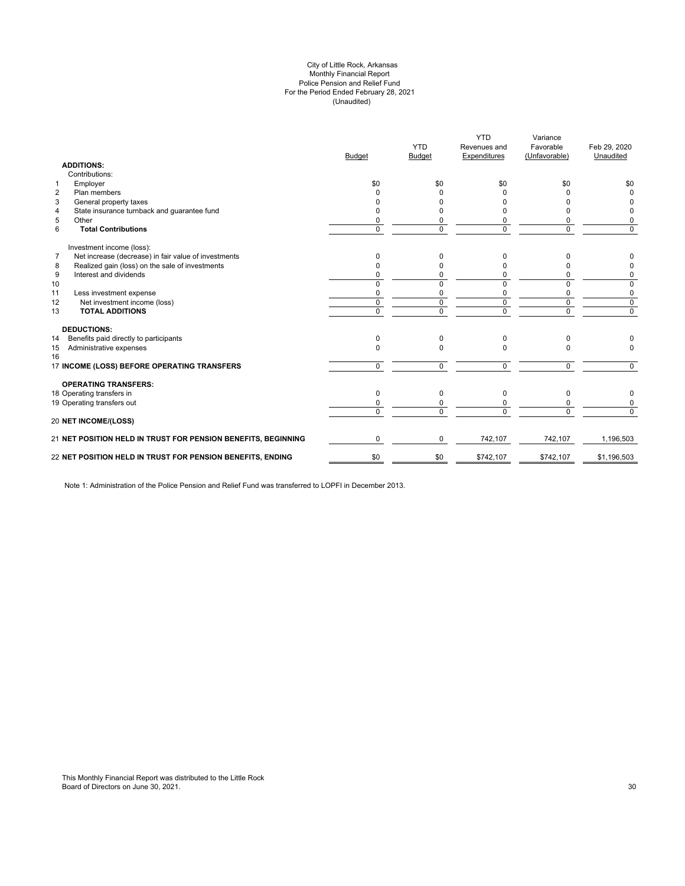#### (Unaudited) City of Little Rock, Arkansas Monthly Financial Report Police Pension and Relief Fund For the Period Ended February 28, 2021

|                | <b>ADDITIONS:</b>                                             | <b>Budget</b>  | <b>YTD</b><br>Budget | <b>YTD</b><br>Revenues and<br>Expenditures | Variance<br>Favorable<br>(Unfavorable) | Feb 29, 2020<br>Unaudited |
|----------------|---------------------------------------------------------------|----------------|----------------------|--------------------------------------------|----------------------------------------|---------------------------|
|                | Contributions:                                                |                |                      |                                            |                                        |                           |
| 1              | Employer                                                      | \$0            | \$0                  | \$0                                        | \$0                                    | \$0                       |
| $\overline{2}$ | Plan members                                                  | <sup>0</sup>   | <sup>0</sup>         | ŋ                                          | o                                      | $\Omega$                  |
| 3              | General property taxes                                        | n              | 0                    |                                            |                                        | <sup>0</sup>              |
| 4              | State insurance turnback and guarantee fund                   | n              | U                    |                                            |                                        | 0                         |
| 5              | Other                                                         | 0              | 0                    |                                            | 0                                      | 0                         |
| 6              | <b>Total Contributions</b>                                    | $\Omega$       | $\Omega$             | $\Omega$                                   | 0                                      | $\mathbf 0$               |
|                | Investment income (loss):                                     |                |                      |                                            |                                        |                           |
| $\overline{7}$ | Net increase (decrease) in fair value of investments          | $\Omega$       | 0                    | 0                                          | 0                                      | 0                         |
| 8              | Realized gain (loss) on the sale of investments               | $\Omega$       | 0                    |                                            | n                                      | 0                         |
| 9              | Interest and dividends                                        | $\Omega$       | 0                    | 0                                          | 0                                      | 0                         |
| 10             |                                                               | $\Omega$       | $\Omega$             | $\Omega$                                   | 0                                      | 0                         |
| 11             | Less investment expense                                       | 0              | 0                    | 0                                          | 0                                      | 0                         |
| 12             | Net investment income (loss)                                  | $\Omega$       | $\Omega$             | $\Omega$                                   | $\mathbf 0$                            | $\mathbf 0$               |
| 13             | <b>TOTAL ADDITIONS</b>                                        | $\overline{0}$ | $\Omega$             | $\overline{0}$                             | $\overline{0}$                         | $\overline{0}$            |
|                | <b>DEDUCTIONS:</b>                                            |                |                      |                                            |                                        |                           |
| 14             | Benefits paid directly to participants                        | $\Omega$       | $\Omega$             | $\Omega$                                   | 0                                      |                           |
| 15<br>16       | Administrative expenses                                       | $\Omega$       | $\Omega$             | $\Omega$                                   | $\Omega$                               | $\Omega$                  |
|                | 17 INCOME (LOSS) BEFORE OPERATING TRANSFERS                   | $\Omega$       | $\Omega$             | $\Omega$                                   | 0                                      | $\Omega$                  |
|                | <b>OPERATING TRANSFERS:</b>                                   |                |                      |                                            |                                        |                           |
|                | 18 Operating transfers in                                     | $\Omega$       | $\Omega$             | $\Omega$                                   | 0                                      | 0                         |
|                | 19 Operating transfers out                                    | 0              | 0                    |                                            | 0                                      | 0                         |
|                | <b>20 NET INCOME/(LOSS)</b>                                   | $\Omega$       | $\Omega$             | $\Omega$                                   | $\Omega$                               | $\Omega$                  |
|                |                                                               |                |                      |                                            |                                        |                           |
|                | 21 NET POSITION HELD IN TRUST FOR PENSION BENEFITS, BEGINNING | $\Omega$       | 0                    | 742,107                                    | 742,107                                | 1,196,503                 |
|                | 22 NET POSITION HELD IN TRUST FOR PENSION BENEFITS, ENDING    | \$0            | \$0                  | \$742,107                                  | \$742,107                              | \$1,196,503               |
|                |                                                               |                |                      |                                            |                                        |                           |

Note 1: Administration of the Police Pension and Relief Fund was transferred to LOPFI in December 2013.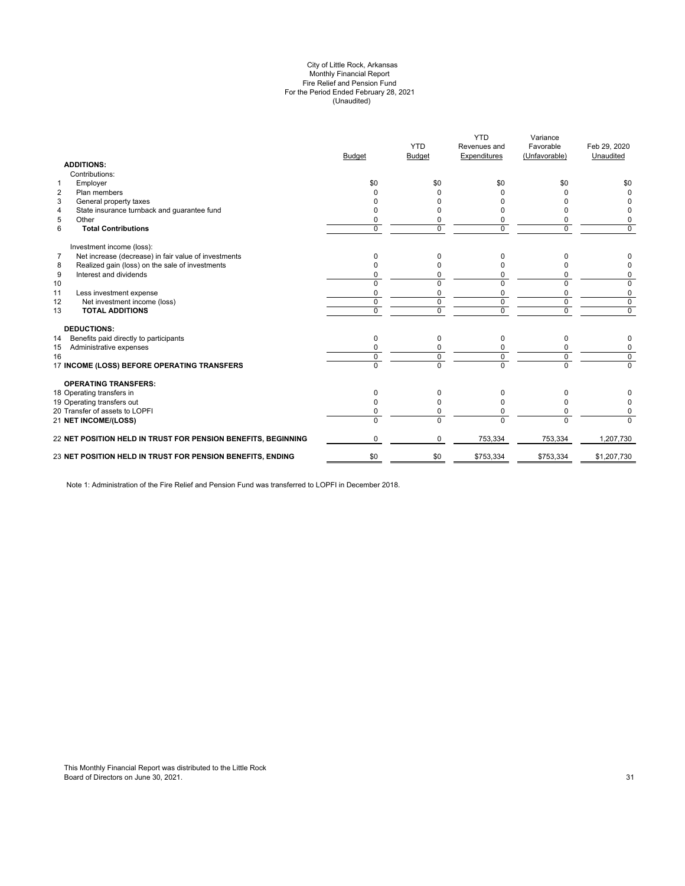#### (Unaudited) City of Little Rock, Arkansas Monthly Financial Report Fire Relief and Pension Fund For the Period Ended February 28, 2021

|                | <b>ADDITIONS:</b>                                             | <b>Budget</b> | <b>YTD</b><br><b>Budget</b> | <b>YTD</b><br>Revenues and<br>Expenditures | Variance<br>Favorable<br>(Unfavorable) | Feb 29, 2020<br>Unaudited |
|----------------|---------------------------------------------------------------|---------------|-----------------------------|--------------------------------------------|----------------------------------------|---------------------------|
|                | Contributions:                                                |               |                             |                                            |                                        |                           |
| $\mathbf{1}$   | Employer                                                      | \$0           | \$0                         | \$0                                        | \$0                                    | \$0                       |
| $\overline{2}$ | Plan members                                                  |               |                             |                                            |                                        |                           |
| 3              | General property taxes                                        |               |                             |                                            |                                        |                           |
| 4              | State insurance turnback and guarantee fund                   |               |                             |                                            |                                        | 0                         |
| 5              | Other                                                         |               | 0                           |                                            | 0                                      | 0                         |
| 6              | <b>Total Contributions</b>                                    | $\Omega$      | $\Omega$                    | $\Omega$                                   | $\Omega$                               | 0                         |
|                | Investment income (loss):                                     |               |                             |                                            |                                        |                           |
| $\overline{7}$ | Net increase (decrease) in fair value of investments          | $\Omega$      | 0                           | <sup>0</sup>                               | 0                                      | 0                         |
| 8              | Realized gain (loss) on the sale of investments               |               | O                           |                                            | n                                      | 0                         |
| 9              | Interest and dividends                                        |               | 0                           | 0                                          | 0                                      | 0                         |
| 10             |                                                               | $\Omega$      | $\Omega$                    | $\Omega$                                   | $\Omega$                               | 0                         |
| 11             | Less investment expense                                       | O             | $\Omega$                    | $\Omega$                                   | $\mathbf 0$                            | 0                         |
| 12             | Net investment income (loss)                                  | $\mathbf 0$   | 0                           | $\mathbf 0$                                | $\mathbf 0$                            | $\mathbf 0$               |
| 13             | <b>TOTAL ADDITIONS</b>                                        | $\Omega$      | $\Omega$                    | $\Omega$                                   | $\Omega$                               | $\mathbf 0$               |
|                | <b>DEDUCTIONS:</b>                                            |               |                             |                                            |                                        |                           |
| 14             | Benefits paid directly to participants                        | $\Omega$      | $\Omega$                    | $\Omega$                                   | 0                                      | 0                         |
| 15             | Administrative expenses                                       |               |                             |                                            | 0                                      | 0                         |
| 16             |                                                               | $\Omega$      | 0                           | $\Omega$                                   | $\mathbf 0$                            | $\overline{0}$            |
|                | 17 INCOME (LOSS) BEFORE OPERATING TRANSFERS                   | $\Omega$      | $\overline{0}$              | $\Omega$                                   | $\overline{0}$                         | $\Omega$                  |
|                | <b>OPERATING TRANSFERS:</b>                                   |               |                             |                                            |                                        |                           |
|                | 18 Operating transfers in                                     | $\Omega$      | 0                           | 0                                          | 0                                      |                           |
|                | 19 Operating transfers out                                    |               | O                           | <sup>0</sup>                               | U                                      | 0                         |
|                | 20 Transfer of assets to LOPFI                                |               | 0                           | 0                                          | $\Omega$                               | 0                         |
|                | <b>21 NET INCOME/(LOSS)</b>                                   | $\Omega$      | $\Omega$                    | $\Omega$                                   | $\Omega$                               | $\Omega$                  |
|                | 22 NET POSITION HELD IN TRUST FOR PENSION BENEFITS, BEGINNING | $\Omega$      | $\Omega$                    | 753,334                                    | 753,334                                | 1,207,730                 |
|                | 23 NET POSITION HELD IN TRUST FOR PENSION BENEFITS, ENDING    | \$0           | \$0                         | \$753,334                                  | \$753,334                              | \$1,207,730               |
|                |                                                               |               |                             |                                            |                                        |                           |

Note 1: Administration of the Fire Relief and Pension Fund was transferred to LOPFI in December 2018.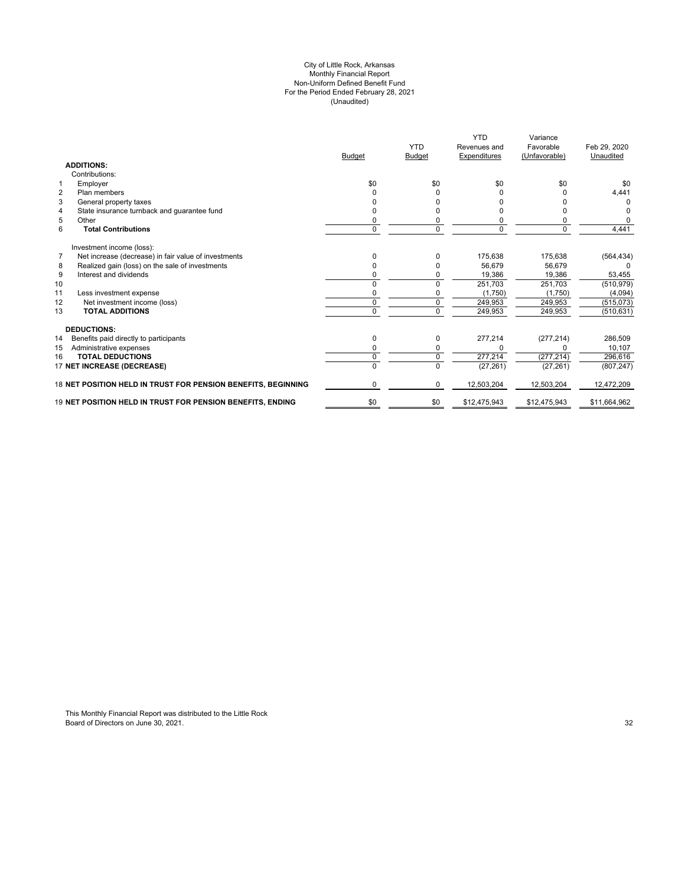#### (Unaudited) For the Period Ended February 28, 2021 City of Little Rock, Arkansas Monthly Financial Report Non-Uniform Defined Benefit Fund

|                                                                        | <b>Budget</b> | <b>YTD</b><br>Budget | <b>YTD</b><br>Revenues and<br>Expenditures | Variance<br>Favorable<br>(Unfavorable) | Feb 29, 2020<br>Unaudited |
|------------------------------------------------------------------------|---------------|----------------------|--------------------------------------------|----------------------------------------|---------------------------|
| <b>ADDITIONS:</b>                                                      |               |                      |                                            |                                        |                           |
| Contributions:                                                         |               |                      |                                            |                                        |                           |
| Employer<br>$\mathbf 1$                                                | \$0           | \$0                  | \$0                                        | \$0                                    | \$0                       |
| $\overline{2}$<br>Plan members                                         |               | 0                    | 0                                          |                                        | 4,441                     |
| 3<br>General property taxes                                            |               | n                    | n                                          |                                        | O                         |
| State insurance turnback and guarantee fund<br>4                       |               |                      | n                                          |                                        | 0                         |
| 5<br>Other                                                             |               | 0                    | 0                                          |                                        | $\Omega$                  |
| 6<br><b>Total Contributions</b>                                        | 0             | $\mathbf 0$          | $\mathbf 0$                                | $\Omega$                               | 4,441                     |
| Investment income (loss):                                              |               |                      |                                            |                                        |                           |
| $\overline{7}$<br>Net increase (decrease) in fair value of investments | O             | $\Omega$             | 175,638                                    | 175,638                                | (564, 434)                |
| Realized gain (loss) on the sale of investments<br>8                   |               | 0                    | 56.679                                     | 56.679                                 | 0                         |
| 9<br>Interest and dividends                                            | n             | 0                    | 19,386                                     | 19,386                                 | 53,455                    |
| 10                                                                     |               | 0                    | 251,703                                    | 251,703                                | (510, 979)                |
| 11<br>Less investment expense                                          | 0             | 0                    | (1,750)                                    | (1,750)                                | (4,094)                   |
| Net investment income (loss)<br>12                                     | $\Omega$      | $\mathbf 0$          | 249,953                                    | 249,953                                | (515,073)                 |
| <b>TOTAL ADDITIONS</b><br>13                                           | $\Omega$      | $\Omega$             | 249,953                                    | 249,953                                | (510, 631)                |
| <b>DEDUCTIONS:</b>                                                     |               |                      |                                            |                                        |                           |
| Benefits paid directly to participants<br>14                           | $\Omega$      | 0                    | 277,214                                    | (277, 214)                             | 286,509                   |
| Administrative expenses<br>15                                          | 0             | 0                    | $\Omega$                                   |                                        | 10,107                    |
| <b>TOTAL DEDUCTIONS</b><br>16                                          | 0             | 0                    | 277,214                                    | (277, 214)                             | 296,616                   |
| 17 NET INCREASE (DECREASE)                                             | U             | 0                    | (27, 261)                                  | (27, 261)                              | (807, 247)                |
| 18 NET POSITION HELD IN TRUST FOR PENSION BENEFITS, BEGINNING          | 0             | $\Omega$             | 12,503,204                                 | 12,503,204                             | 12,472,209                |
| 19 NET POSITION HELD IN TRUST FOR PENSION BENEFITS, ENDING             | \$0           | \$0                  | \$12,475,943                               | \$12,475,943                           | \$11,664,962              |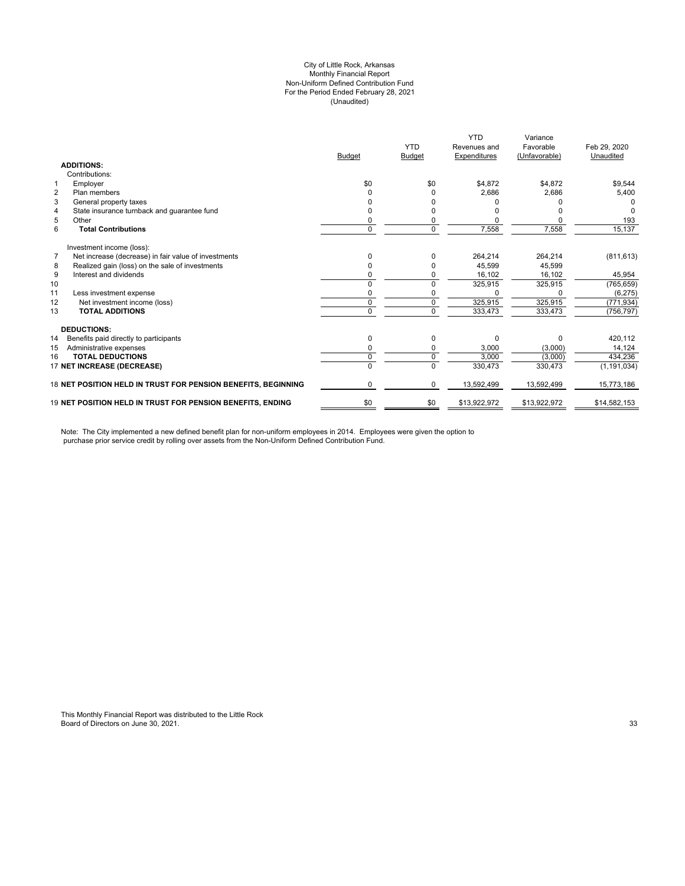#### City of Little Rock, Arkansas (Unaudited) For the Period Ended February 28, 2021 Non-Uniform Defined Contribution Fund Monthly Financial Report

|                                                                        |                                                               | <b>Budget</b>  | <b>YTD</b><br><b>Budget</b> | <b>YTD</b><br>Revenues and<br>Expenditures | Variance<br>Favorable<br>(Unfavorable) | Feb 29, 2020<br>Unaudited |
|------------------------------------------------------------------------|---------------------------------------------------------------|----------------|-----------------------------|--------------------------------------------|----------------------------------------|---------------------------|
| <b>ADDITIONS:</b>                                                      |                                                               |                |                             |                                            |                                        |                           |
| Contributions:                                                         |                                                               |                |                             |                                            |                                        |                           |
| Employer<br>1                                                          |                                                               | \$0            | \$0                         | \$4,872                                    | \$4,872                                | \$9,544                   |
| $\overline{2}$<br>Plan members                                         |                                                               |                |                             | 2.686                                      | 2,686                                  | 5,400                     |
| 3<br>General property taxes                                            |                                                               |                |                             |                                            |                                        |                           |
| State insurance turnback and guarantee fund<br>$\overline{4}$          |                                                               |                |                             |                                            |                                        |                           |
| 5<br>Other                                                             |                                                               | $\Omega$       |                             |                                            |                                        | 193                       |
| 6<br><b>Total Contributions</b>                                        |                                                               | 0              | $\Omega$                    | 7,558                                      | 7,558                                  | 15,137                    |
| Investment income (loss):                                              |                                                               |                |                             |                                            |                                        |                           |
| Net increase (decrease) in fair value of investments<br>$\overline{7}$ |                                                               | ŋ              |                             | 264,214                                    | 264,214                                | (811, 613)                |
| Realized gain (loss) on the sale of investments<br>8                   |                                                               |                |                             | 45,599                                     | 45,599                                 |                           |
| Interest and dividends<br>9                                            |                                                               |                |                             | 16.102                                     | 16.102                                 | 45,954                    |
| 10                                                                     |                                                               | 0              | $\Omega$                    | 325,915                                    | 325,915                                | (765, 659)                |
| 11<br>Less investment expense                                          |                                                               | $\Omega$       |                             | $\Omega$                                   |                                        | (6, 275)                  |
| 12<br>Net investment income (loss)                                     |                                                               | 0              | 0                           | 325,915                                    | 325,915                                | (771, 934)                |
| 13<br><b>TOTAL ADDITIONS</b>                                           |                                                               | $\Omega$       | $\Omega$                    | 333,473                                    | 333,473                                | (756, 797)                |
| <b>DEDUCTIONS:</b>                                                     |                                                               |                |                             |                                            |                                        |                           |
| 14<br>Benefits paid directly to participants                           |                                                               | 0              | $\Omega$                    | $\Omega$                                   | $\Omega$                               | 420,112                   |
| 15<br>Administrative expenses                                          |                                                               | $\Omega$       | $\Omega$                    | 3,000                                      | (3,000)                                | 14,124                    |
| <b>TOTAL DEDUCTIONS</b><br>16                                          |                                                               | 0              | $\Omega$                    | 3.000                                      | (3,000)                                | 434.236                   |
| 17 NET INCREASE (DECREASE)                                             |                                                               | $\overline{0}$ | $\Omega$                    | 330,473                                    | 330,473                                | (1, 191, 034)             |
|                                                                        | 18 NET POSITION HELD IN TRUST FOR PENSION BENEFITS, BEGINNING | $\Omega$       | $\Omega$                    | 13,592,499                                 | 13,592,499                             | 15,773,186                |
| <b>19 NET POSITION HELD IN TRUST FOR PENSION BENEFITS. ENDING</b>      |                                                               | \$0            | \$0                         | \$13,922,972                               | \$13,922,972                           | \$14,582,153              |

Note: The City implemented a new defined benefit plan for non-uniform employees in 2014. Employees were given the option to purchase prior service credit by rolling over assets from the Non-Uniform Defined Contribution Fund.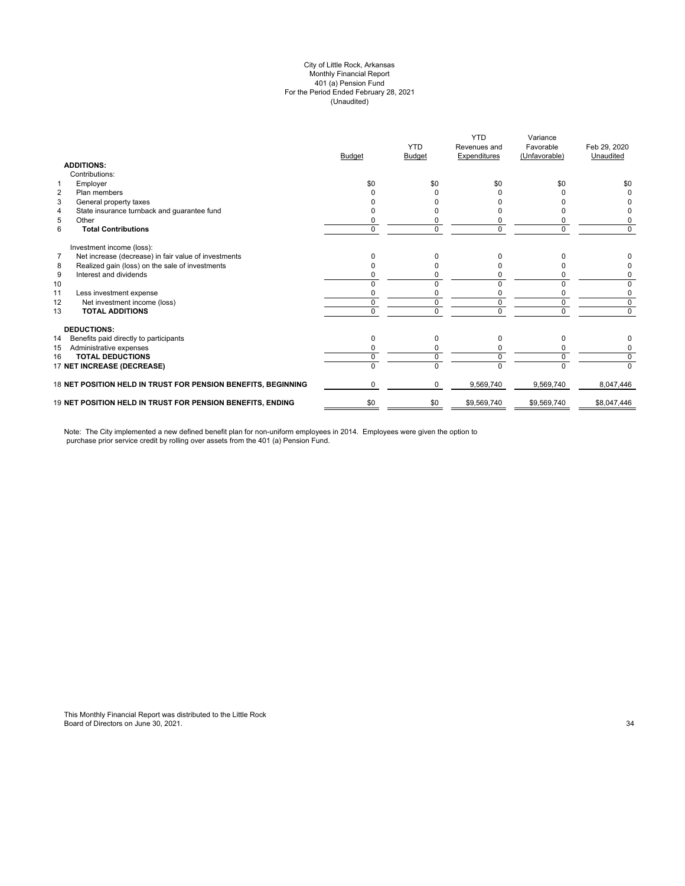#### (Unaudited) City of Little Rock, Arkansas Monthly Financial Report 401 (a) Pension Fund For the Period Ended February 28, 2021

|                                                               | <b>Budget</b> | <b>YTD</b><br><b>Budget</b> | <b>YTD</b><br>Revenues and<br>Expenditures | Variance<br>Favorable<br>(Unfavorable) | Feb 29, 2020<br>Unaudited |
|---------------------------------------------------------------|---------------|-----------------------------|--------------------------------------------|----------------------------------------|---------------------------|
| <b>ADDITIONS:</b>                                             |               |                             |                                            |                                        |                           |
| Contributions:                                                |               |                             |                                            |                                        |                           |
| Employer<br>$\mathbf{1}$                                      | \$0           | \$0                         | \$0                                        | \$0                                    | \$0                       |
| $\overline{2}$<br>Plan members                                |               |                             |                                            |                                        |                           |
| 3<br>General property taxes                                   |               |                             |                                            |                                        |                           |
| State insurance turnback and guarantee fund<br>4              |               |                             |                                            |                                        |                           |
| 5<br>Other                                                    |               |                             |                                            |                                        | 0                         |
| 6<br><b>Total Contributions</b>                               | 0             | 0                           |                                            | $\Omega$                               | $\Omega$                  |
| Investment income (loss):                                     |               |                             |                                            |                                        |                           |
| Net increase (decrease) in fair value of investments<br>7     |               |                             |                                            |                                        |                           |
| Realized gain (loss) on the sale of investments<br>8          |               |                             |                                            |                                        |                           |
| 9<br>Interest and dividends                                   |               |                             |                                            |                                        | 0                         |
| 10                                                            |               |                             |                                            |                                        | 0                         |
| 11<br>Less investment expense                                 |               | $\Omega$                    |                                            | ŋ                                      | 0                         |
| 12<br>Net investment income (loss)                            | 0             | 0                           | $\Omega$                                   | 0                                      | 0                         |
| 13<br><b>TOTAL ADDITIONS</b>                                  | 0             | $\Omega$                    | <sup>n</sup>                               | $\Omega$                               | $\Omega$                  |
| <b>DEDUCTIONS:</b>                                            |               |                             |                                            |                                        |                           |
| Benefits paid directly to participants<br>14                  | 0             | 0                           | 0                                          | 0                                      | 0                         |
| 15<br>Administrative expenses                                 | 0             | 0                           | 0                                          | $\Omega$                               | 0                         |
| <b>TOTAL DEDUCTIONS</b><br>16                                 | 0             | 0                           | $\Omega$                                   | $\Omega$                               | 0                         |
| 17 NET INCREASE (DECREASE)                                    | n             | $\Omega$                    | U                                          | $\Omega$                               | $\Omega$                  |
| 18 NET POSITION HELD IN TRUST FOR PENSION BENEFITS, BEGINNING | 0             | $\Omega$                    | 9,569,740                                  | 9,569,740                              | 8,047,446                 |
| 19 NET POSITION HELD IN TRUST FOR PENSION BENEFITS, ENDING    | \$0           | \$0                         | \$9,569,740                                | \$9,569,740                            | \$8,047,446               |

Note: The City implemented a new defined benefit plan for non-uniform employees in 2014. Employees were given the option to purchase prior service credit by rolling over assets from the 401 (a) Pension Fund.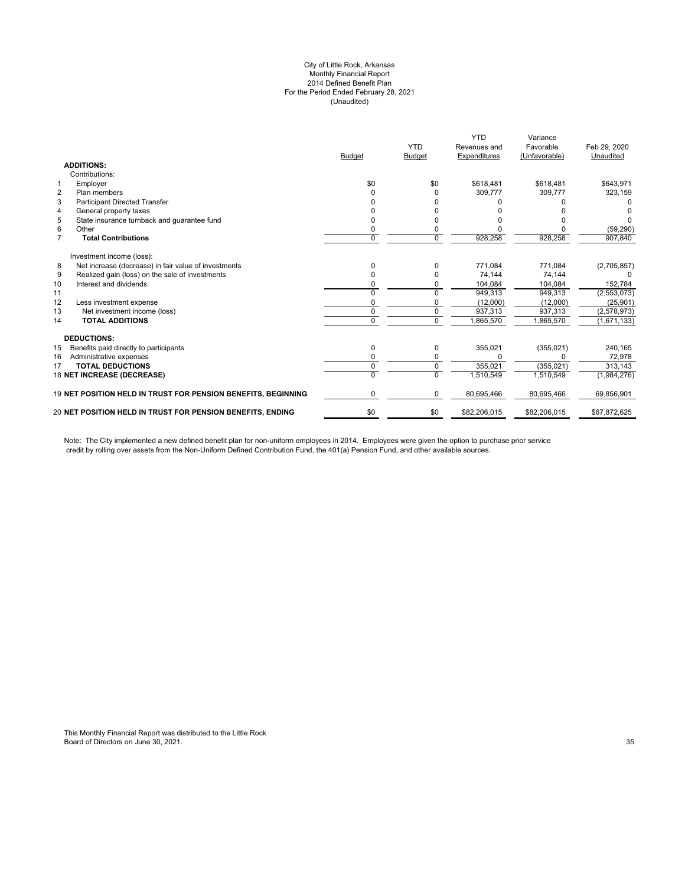#### City of Little Rock, Arkansas Monthly Financial Report 2014 Defined Benefit Plan For the Period Ended February 28, 2021 (Unaudited)

|                |                                                               | <b>Budget</b> | <b>YTD</b><br><b>Budget</b> | <b>YTD</b><br>Revenues and<br>Expenditures | Variance<br>Favorable<br>(Unfavorable) | Feb 29, 2020<br>Unaudited |
|----------------|---------------------------------------------------------------|---------------|-----------------------------|--------------------------------------------|----------------------------------------|---------------------------|
|                | <b>ADDITIONS:</b>                                             |               |                             |                                            |                                        |                           |
|                | Contributions:                                                |               |                             |                                            |                                        |                           |
| $\mathbf{1}$   | Employer                                                      | \$0           | \$0                         | \$618.481                                  | \$618,481                              | \$643,971                 |
| $\overline{2}$ | Plan members                                                  | ი             | O                           | 309.777                                    | 309.777                                | 323,159                   |
| 3              | <b>Participant Directed Transfer</b>                          |               |                             |                                            |                                        |                           |
| $\overline{4}$ | General property taxes                                        |               |                             |                                            |                                        |                           |
| 5              | State insurance turnback and quarantee fund                   |               |                             |                                            |                                        |                           |
| 6              | Other                                                         | 0             |                             |                                            |                                        | (59, 290)                 |
| $\overline{7}$ | <b>Total Contributions</b>                                    | 0             | $\Omega$                    | 928,258                                    | 928,258                                | 907,840                   |
|                | Investment income (loss):                                     |               |                             |                                            |                                        |                           |
| 8              | Net increase (decrease) in fair value of investments          | 0             | 0                           | 771,084                                    | 771,084                                | (2,705,857)               |
| 9              | Realized gain (loss) on the sale of investments               |               |                             | 74,144                                     | 74,144                                 |                           |
| 10             | Interest and dividends                                        | n             | 0                           | 104,084                                    | 104,084                                | 152,784                   |
| 11             |                                                               | U             | $\Omega$                    | 949.313                                    | 949.313                                | (2, 553, 073)             |
| 12             | Less investment expense                                       | 0             |                             | (12,000)                                   | (12,000)                               | (25, 901)                 |
| 13             | Net investment income (loss)                                  | 0             | 0                           | 937.313                                    | 937.313                                | (2,578,973)               |
| 14             | <b>TOTAL ADDITIONS</b>                                        | 0             | $\Omega$                    | 1,865,570                                  | 865,570                                | (1,671,133)               |
|                | <b>DEDUCTIONS:</b>                                            |               |                             |                                            |                                        |                           |
| 15             | Benefits paid directly to participants                        | 0             | 0                           | 355,021                                    | (355, 021)                             | 240,165                   |
| 16             | Administrative expenses                                       | 0             | 0                           |                                            | <sup>0</sup>                           | 72,978                    |
| 17             | <b>TOTAL DEDUCTIONS</b>                                       | 0             | $\mathbf 0$                 | 355.021                                    | (355.021)                              | 313.143                   |
|                | 18 NET INCREASE (DECREASE)                                    | 0             | $\Omega$                    | 1,510,549                                  | 1,510,549                              | (1,984,276)               |
|                | 19 NET POSITION HELD IN TRUST FOR PENSION BENEFITS, BEGINNING | 0             | 0                           | 80,695,466                                 | 80,695,466                             | 69,856,901                |
|                | 20 NET POSITION HELD IN TRUST FOR PENSION BENEFITS, ENDING    | \$0           | \$0                         | \$82,206,015                               | \$82,206,015                           | \$67,872,625              |
|                |                                                               |               |                             |                                            |                                        |                           |

Note: The City implemented a new defined benefit plan for non-uniform employees in 2014. Employees were given the option to purchase prior service credit by rolling over assets from the Non-Uniform Defined Contribution Fund, the 401(a) Pension Fund, and other available sources.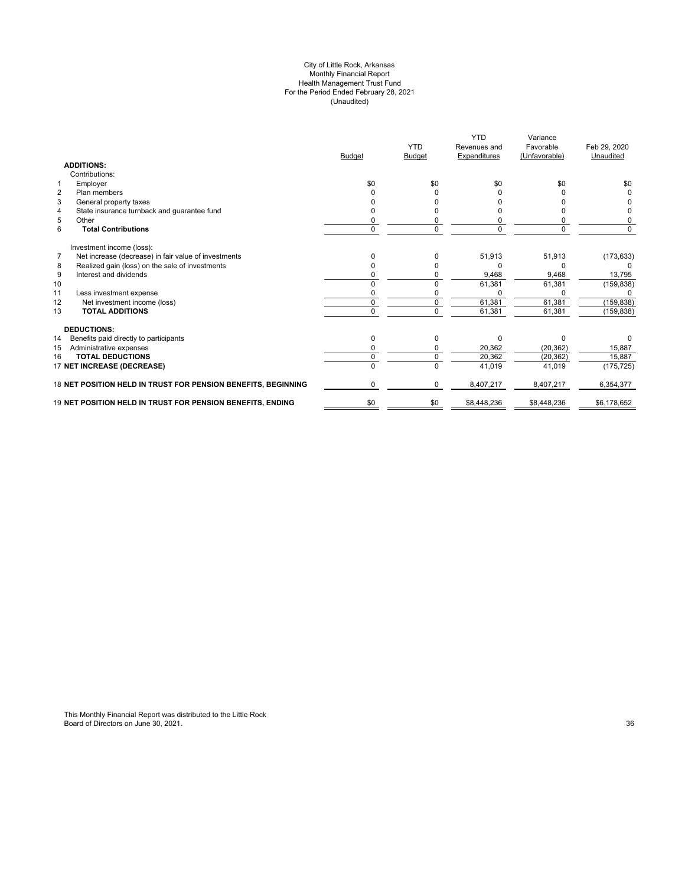#### City of Little Rock, Arkansas Monthly Financial Report Health Management Trust Fund For the Period Ended February 28, 2021 (Unaudited)

|                                                               | <b>Budget</b> | <b>YTD</b><br><b>Budget</b> | <b>YTD</b><br>Revenues and<br>Expenditures | Variance<br>Favorable<br>(Unfavorable) | Feb 29, 2020<br>Unaudited |
|---------------------------------------------------------------|---------------|-----------------------------|--------------------------------------------|----------------------------------------|---------------------------|
| <b>ADDITIONS:</b>                                             |               |                             |                                            |                                        |                           |
| Contributions:                                                |               |                             |                                            |                                        |                           |
| $\mathbf{1}$<br>Employer                                      | \$0           | \$0                         | \$0                                        | \$0                                    | \$0                       |
| $\overline{2}$<br>Plan members                                |               |                             |                                            |                                        |                           |
| 3<br>General property taxes                                   |               |                             |                                            |                                        |                           |
| State insurance turnback and guarantee fund<br>4              |               |                             |                                            |                                        |                           |
| 5<br>Other                                                    | ი             |                             |                                            |                                        | 0                         |
| 6<br><b>Total Contributions</b>                               | 0             | 0                           | 0                                          | $\Omega$                               | 0                         |
| Investment income (loss):                                     |               |                             |                                            |                                        |                           |
| Net increase (decrease) in fair value of investments<br>7     | U             | 0                           | 51,913                                     | 51,913                                 | (173, 633)                |
| Realized gain (loss) on the sale of investments<br>8          |               |                             |                                            | 0                                      |                           |
| 9<br>Interest and dividends                                   | ი             |                             | 9,468                                      | 9,468                                  | 13,795                    |
| 10                                                            | 0             | $\Omega$                    | 61,381                                     | 61,381                                 | (159, 838)                |
| 11<br>Less investment expense                                 | n             |                             |                                            |                                        |                           |
| 12<br>Net investment income (loss)                            | 0             | $\mathbf 0$                 | 61.381                                     | 61,381                                 | (159, 838)                |
| <b>TOTAL ADDITIONS</b><br>13                                  | 0             | 0                           | 61,381                                     | 61,381                                 | (159, 838)                |
| <b>DEDUCTIONS:</b>                                            |               |                             |                                            |                                        |                           |
| Benefits paid directly to participants<br>14                  | 0             | O                           | U                                          | ŋ                                      | 0                         |
| 15<br>Administrative expenses                                 |               |                             | 20,362                                     | (20, 362)                              | 15,887                    |
| <b>TOTAL DEDUCTIONS</b><br>16                                 | 0             | 0                           | 20,362                                     | (20, 362)                              | 15,887                    |
| 17 NET INCREASE (DECREASE)                                    |               |                             | 41,019                                     | 41,019                                 | (175, 725)                |
| 18 NET POSITION HELD IN TRUST FOR PENSION BENEFITS, BEGINNING | 0             | 0                           | 8,407,217                                  | 8,407,217                              | 6,354,377                 |
| 19 NET POSITION HELD IN TRUST FOR PENSION BENEFITS, ENDING    | \$0           | \$0                         | \$8,448,236                                | \$8,448,236                            | \$6,178,652               |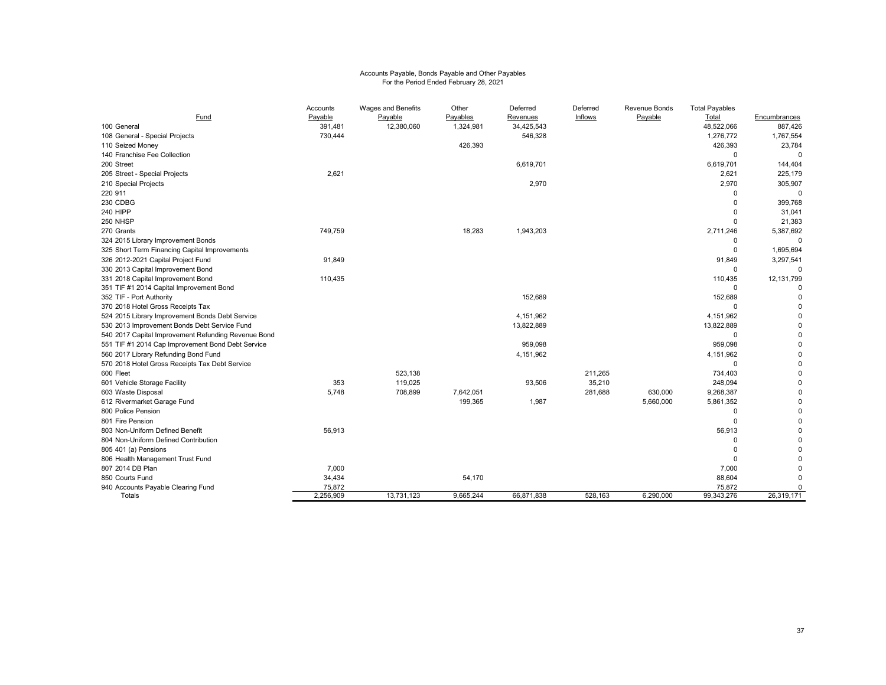# Accounts Payable, Bonds Payable and Other Payables For the Period Ended February 28, 2021

|                                                     | Accounts  | Wages and Benefits | Other     | Deferred   | Deferred | Revenue Bonds | <b>Total Payables</b> |              |
|-----------------------------------------------------|-----------|--------------------|-----------|------------|----------|---------------|-----------------------|--------------|
| Fund                                                | Payable   | Payable            | Payables  | Revenues   | Inflows  | Payable       | Total                 | Encumbrances |
| 100 General                                         | 391,481   | 12,380,060         | 1,324,981 | 34,425,543 |          |               | 48,522,066            | 887,426      |
| 108 General - Special Projects                      | 730,444   |                    |           | 546,328    |          |               | 1,276,772             | 1,767,554    |
| 110 Seized Money                                    |           |                    | 426,393   |            |          |               | 426,393               | 23,784       |
| 140 Franchise Fee Collection                        |           |                    |           |            |          |               | $\Omega$              | $\mathbf 0$  |
| 200 Street                                          |           |                    |           | 6,619,701  |          |               | 6,619,701             | 144,404      |
| 205 Street - Special Projects                       | 2,621     |                    |           |            |          |               | 2,621                 | 225,179      |
| 210 Special Projects                                |           |                    |           | 2,970      |          |               | 2,970                 | 305,907      |
| 220 911                                             |           |                    |           |            |          |               | $\Omega$              | $\mathbf 0$  |
| 230 CDBG                                            |           |                    |           |            |          |               | $\Omega$              | 399,768      |
| <b>240 HIPP</b>                                     |           |                    |           |            |          |               | $\Omega$              | 31,041       |
| 250 NHSP                                            |           |                    |           |            |          |               | $\Omega$              | 21,383       |
| 270 Grants                                          | 749,759   |                    | 18,283    | 1,943,203  |          |               | 2,711,246             | 5,387,692    |
| 324 2015 Library Improvement Bonds                  |           |                    |           |            |          |               | $\Omega$              | $\Omega$     |
| 325 Short Term Financing Capital Improvements       |           |                    |           |            |          |               | $\Omega$              | 1,695,694    |
| 326 2012-2021 Capital Project Fund                  | 91,849    |                    |           |            |          |               | 91,849                | 3,297,541    |
| 330 2013 Capital Improvement Bond                   |           |                    |           |            |          |               | $\Omega$              | $\Omega$     |
| 331 2018 Capital Improvement Bond                   | 110,435   |                    |           |            |          |               | 110,435               | 12,131,799   |
| 351 TIF #1 2014 Capital Improvement Bond            |           |                    |           |            |          |               | $\Omega$              | $\Omega$     |
| 352 TIF - Port Authority                            |           |                    |           | 152,689    |          |               | 152,689               | $\Omega$     |
| 370 2018 Hotel Gross Receipts Tax                   |           |                    |           |            |          |               | $\Omega$              |              |
| 524 2015 Library Improvement Bonds Debt Service     |           |                    |           | 4,151,962  |          |               | 4,151,962             |              |
| 530 2013 Improvement Bonds Debt Service Fund        |           |                    |           | 13,822,889 |          |               | 13,822,889            | $\Omega$     |
| 540 2017 Capital Improvement Refunding Revenue Bond |           |                    |           |            |          |               | $\Omega$              | $\Omega$     |
| 551 TIF #1 2014 Cap Improvement Bond Debt Service   |           |                    |           | 959,098    |          |               | 959,098               | $\Omega$     |
| 560 2017 Library Refunding Bond Fund                |           |                    |           | 4,151,962  |          |               | 4,151,962             | $\Omega$     |
| 570 2018 Hotel Gross Receipts Tax Debt Service      |           |                    |           |            |          |               | $\Omega$              | $\Omega$     |
| 600 Fleet                                           |           | 523,138            |           |            | 211,265  |               | 734,403               | $\Omega$     |
| 601 Vehicle Storage Facility                        | 353       | 119.025            |           | 93,506     | 35,210   |               | 248,094               | $\Omega$     |
| 603 Waste Disposal                                  | 5.748     | 708,899            | 7,642,051 |            | 281,688  | 630,000       | 9,268,387             | $\Omega$     |
| 612 Rivermarket Garage Fund                         |           |                    | 199,365   | 1,987      |          | 5,660,000     | 5,861,352             | $\Omega$     |
| 800 Police Pension                                  |           |                    |           |            |          |               | $\Omega$              | $\Omega$     |
| 801 Fire Pension                                    |           |                    |           |            |          |               | $\Omega$              | $\Omega$     |
| 803 Non-Uniform Defined Benefit                     | 56,913    |                    |           |            |          |               | 56,913                | $\Omega$     |
| 804 Non-Uniform Defined Contribution                |           |                    |           |            |          |               | $\Omega$              |              |
| 805 401 (a) Pensions                                |           |                    |           |            |          |               | $\Omega$              |              |
| 806 Health Management Trust Fund                    |           |                    |           |            |          |               | $\Omega$              |              |
| 807 2014 DB Plan                                    | 7,000     |                    |           |            |          |               | 7,000                 | $\Omega$     |
| 850 Courts Fund                                     | 34,434    |                    | 54,170    |            |          |               | 88,604                | $\Omega$     |
| 940 Accounts Payable Clearing Fund                  | 75,872    |                    |           |            |          |               | 75,872                | $\Omega$     |
| Totals                                              | 2,256,909 | 13,731,123         | 9,665,244 | 66,871,838 | 528,163  | 6,290,000     | 99,343,276            | 26,319,171   |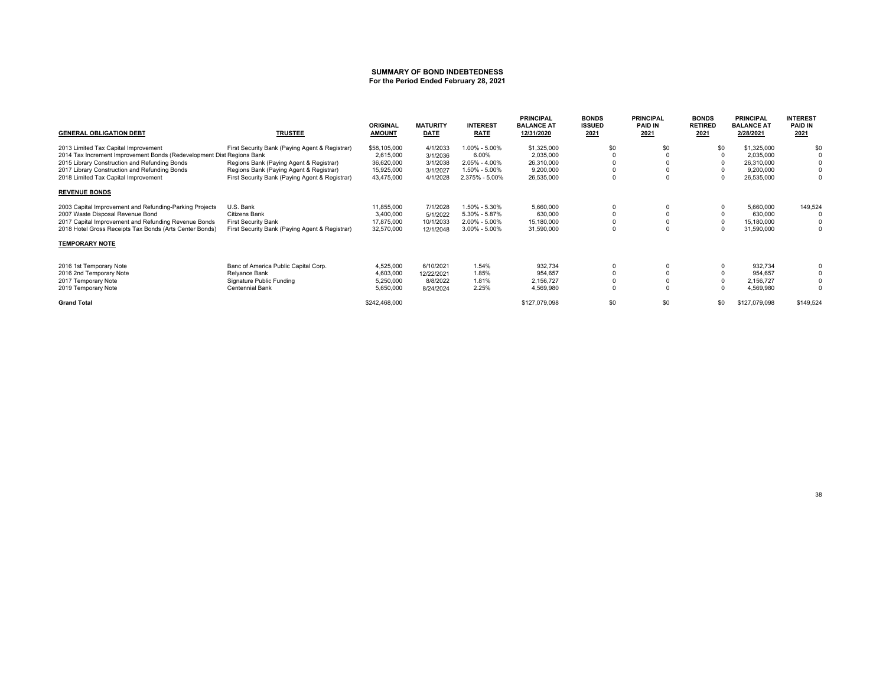#### **SUMMARY OF BOND INDEBTEDNESSFor the Period Ended February 28, 2021**

| <b>GENERAL OBLIGATION DEBT</b>                                        | <b>TRUSTEE</b>                                 | <b>ORIGINAL</b><br><b>AMOUNT</b> | <b>MATURITY</b><br><b>DATE</b> | <b>INTEREST</b><br><b>RATE</b> | <b>PRINCIPAL</b><br><b>BALANCE AT</b><br>12/31/2020 | <b>BONDS</b><br><b>ISSUED</b><br>2021 | <b>PRINCIPAL</b><br><b>PAID IN</b><br>2021 | <b>BONDS</b><br><b>RETIRED</b><br>2021 | <b>PRINCIPAL</b><br><b>BALANCE AT</b><br>2/28/2021 | <b>INTEREST</b><br><b>PAID IN</b><br>2021 |
|-----------------------------------------------------------------------|------------------------------------------------|----------------------------------|--------------------------------|--------------------------------|-----------------------------------------------------|---------------------------------------|--------------------------------------------|----------------------------------------|----------------------------------------------------|-------------------------------------------|
| 2013 Limited Tax Capital Improvement                                  | First Security Bank (Paying Agent & Registrar) | \$58,105,000                     | 4/1/2033                       | 1.00% - 5.00%                  | \$1,325,000                                         | \$0                                   | \$0                                        | \$0                                    | \$1,325,000                                        | \$0                                       |
| 2014 Tax Increment Improvement Bonds (Redevelopment Dist Regions Bank |                                                | 2,615,000                        | 3/1/2036                       | 6.00%                          | 2,035,000                                           |                                       |                                            |                                        | 2,035,000                                          |                                           |
| 2015 Library Construction and Refunding Bonds                         | Regions Bank (Paying Agent & Registrar)        | 36,620,000                       | 3/1/2038                       | $2.05\% - 4.00\%$              | 26,310,000                                          |                                       |                                            |                                        | 26,310,000                                         |                                           |
| 2017 Library Construction and Refunding Bonds                         | Regions Bank (Paying Agent & Registrar)        | 15,925,000                       | 3/1/2027                       | 1.50% - 5.00%                  | 9,200,000                                           | 0                                     |                                            |                                        | 9,200,000                                          |                                           |
| 2018 Limited Tax Capital Improvement                                  | First Security Bank (Paying Agent & Registrar) | 43,475,000                       | 4/1/2028                       | 2.375% - 5.00%                 | 26,535,000                                          | $\mathbf 0$                           |                                            |                                        | 26,535,000                                         | 0                                         |
| <b>REVENUE BONDS</b>                                                  |                                                |                                  |                                |                                |                                                     |                                       |                                            |                                        |                                                    |                                           |
| 2003 Capital Improvement and Refunding-Parking Projects               | U.S. Bank                                      | 11,855,000                       | 7/1/2028                       | 1.50% - 5.30%                  | 5,660,000                                           |                                       |                                            |                                        | 5,660,000                                          | 149,524                                   |
| 2007 Waste Disposal Revenue Bond                                      | Citizens Bank                                  | 3,400,000                        | 5/1/2022                       | 5.30% - 5.87%                  | 630,000                                             |                                       |                                            |                                        | 630,000                                            |                                           |
| 2017 Capital Improvement and Refunding Revenue Bonds                  | <b>First Security Bank</b>                     | 17,875,000                       | 10/1/2033                      | 2.00% - 5.00%                  | 15,180,000                                          | 0                                     |                                            |                                        | 15,180,000                                         |                                           |
| 2018 Hotel Gross Receipts Tax Bonds (Arts Center Bonds)               | First Security Bank (Paying Agent & Registrar) | 32,570,000                       | 12/1/2048                      | $3.00\% - 5.00\%$              | 31,590,000                                          | $\Omega$                              |                                            |                                        | 31,590,000                                         | $\Omega$                                  |
| <b>TEMPORARY NOTE</b>                                                 |                                                |                                  |                                |                                |                                                     |                                       |                                            |                                        |                                                    |                                           |
| 2016 1st Temporary Note                                               | Banc of America Public Capital Corp.           | 4,525,000                        | 6/10/2021                      | 1.54%                          | 932,734                                             |                                       |                                            |                                        | 932,734                                            |                                           |
| 2016 2nd Temporary Note                                               | Relyance Bank                                  | 4,603,000                        | 12/22/2021                     | 1.85%                          | 954,657                                             | 0                                     |                                            |                                        | 954,657                                            |                                           |
| 2017 Temporary Note                                                   | Signature Public Funding                       | 5,250,000                        | 8/8/2022                       | 1.81%                          | 2,156,727                                           |                                       |                                            |                                        | 2,156,727                                          |                                           |
| 2019 Temporary Note                                                   | Centennial Bank                                | 5,650,000                        | 8/24/2024                      | 2.25%                          | 4,569,980                                           | $\mathbf 0$                           |                                            |                                        | 4,569,980                                          |                                           |
| <b>Grand Total</b>                                                    |                                                | \$242,468,000                    |                                |                                | \$127,079,098                                       | \$0                                   | \$0                                        | \$0                                    | \$127,079,098                                      | \$149,524                                 |